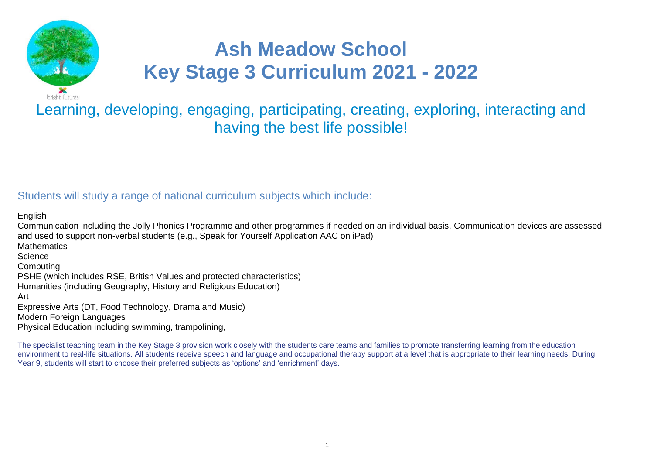

# **Ash Meadow School Key Stage 3 Curriculum 2021 - 2022**

## Learning, developing, engaging, participating, creating, exploring, interacting and having the best life possible!

### Students will study a range of national curriculum subjects which include:

English

Communication including the Jolly Phonics Programme and other programmes if needed on an individual basis. Communication devices are assessed and used to support non-verbal students (e.g., Speak for Yourself Application AAC on iPad) **Mathematics Science** Computing PSHE (which includes RSE, British Values and protected characteristics) Humanities (including Geography, History and Religious Education) Art Expressive Arts (DT, Food Technology, Drama and Music) Modern Foreign Languages Physical Education including swimming, trampolining,

The specialist teaching team in the Key Stage 3 provision work closely with the students care teams and families to promote transferring learning from the education environment to real-life situations. All students receive speech and language and occupational therapy support at a level that is appropriate to their learning needs. During Year 9, students will start to choose their preferred subjects as 'options' and 'enrichment' days.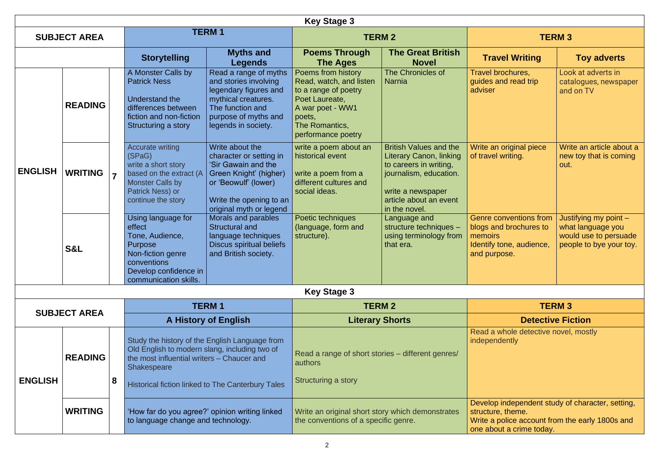|                |                     |   |                                                                                                                                                                  |                                                                                                                                                                           | <b>Key Stage 3</b>                                                                                                                                            |                                                                                                                                                                                     |                                                                                                                                                      |                                                                                                |
|----------------|---------------------|---|------------------------------------------------------------------------------------------------------------------------------------------------------------------|---------------------------------------------------------------------------------------------------------------------------------------------------------------------------|---------------------------------------------------------------------------------------------------------------------------------------------------------------|-------------------------------------------------------------------------------------------------------------------------------------------------------------------------------------|------------------------------------------------------------------------------------------------------------------------------------------------------|------------------------------------------------------------------------------------------------|
|                | <b>SUBJECT AREA</b> |   |                                                                                                                                                                  | <b>TERM1</b>                                                                                                                                                              |                                                                                                                                                               | <b>TERM 2</b>                                                                                                                                                                       |                                                                                                                                                      | <b>TERM 3</b>                                                                                  |
|                |                     |   | <b>Storytelling</b>                                                                                                                                              | <b>Myths and</b><br><b>Legends</b>                                                                                                                                        | <b>Poems Through</b><br><b>The Ages</b>                                                                                                                       | <b>The Great British</b><br><b>Novel</b>                                                                                                                                            | <b>Travel Writing</b>                                                                                                                                | <b>Toy adverts</b>                                                                             |
|                | <b>READING</b>      |   | A Monster Calls by<br><b>Patrick Ness</b><br>Understand the<br>differences between<br>fiction and non-fiction<br>Structuring a story                             | Read a range of myths<br>and stories involving<br>legendary figures and<br>mythical creatures.<br>The function and<br>purpose of myths and<br>legends in society.         | Poems from history<br>Read, watch, and listen<br>to a range of poetry<br>Poet Laureate,<br>A war poet - WW1<br>poets,<br>The Romantics,<br>performance poetry | The Chronicles of<br><b>Narnia</b>                                                                                                                                                  | Travel brochures,<br>guides and read trip<br>adviser                                                                                                 | Look at adverts in<br>catalogues, newspaper<br>and on TV                                       |
| <b>ENGLISH</b> | <b>WRITING</b>      | 7 | <b>Accurate writing</b><br>(SPaG)<br>write a short story<br>based on the extract (A)<br><b>Monster Calls by</b><br><b>Patrick Ness) or</b><br>continue the story | Write about the<br>character or setting in<br>'Sir Gawain and the<br>Green Knight' (higher)<br>or 'Beowulf' (lower)<br>Write the opening to an<br>original myth or legend | write a poem about an<br>historical event<br>write a poem from a<br>different cultures and<br>social ideas.                                                   | <b>British Values and the</b><br><b>Literary Canon, linking</b><br>to careers in writing,<br>journalism, education.<br>write a newspaper<br>article about an event<br>in the novel. | Write an original piece<br>of travel writing.                                                                                                        | Write an article about a<br>new toy that is coming<br>out.                                     |
|                | <b>S&amp;L</b>      |   | Using language for<br>effect<br>Tone, Audience,<br>Purpose<br>Non-fiction genre<br>conventions<br>Develop confidence in<br>communication skills.                 | Morals and parables<br><b>Structural and</b><br>language techniques<br>Discus spiritual beliefs<br>and British society.                                                   | Poetic techniques<br>(language, form and<br>structure).                                                                                                       | Language and<br>structure techniques -<br>using terminology from<br>that era.                                                                                                       | <b>Genre conventions from</b><br>blogs and brochures to<br>memoirs<br>Identify tone, audience,<br>and purpose.                                       | Justifying my point -<br>what language you<br>would use to persuade<br>people to bye your toy. |
|                |                     |   |                                                                                                                                                                  |                                                                                                                                                                           | <b>Key Stage 3</b>                                                                                                                                            |                                                                                                                                                                                     |                                                                                                                                                      |                                                                                                |
|                | <b>SUBJECT AREA</b> |   |                                                                                                                                                                  | <b>TERM1</b>                                                                                                                                                              |                                                                                                                                                               | <b>TERM 2</b>                                                                                                                                                                       |                                                                                                                                                      | <b>TERM 3</b>                                                                                  |
|                |                     |   |                                                                                                                                                                  | <b>A History of English</b>                                                                                                                                               |                                                                                                                                                               | <b>Literary Shorts</b>                                                                                                                                                              |                                                                                                                                                      | <b>Detective Fiction</b>                                                                       |
| <b>ENGLISH</b> | <b>READING</b>      | 8 | Study the history of the English Language from<br>Old English to modern slang, including two of<br>the most influential writers - Chaucer and<br>Shakespeare     |                                                                                                                                                                           | Read a range of short stories - different genres/<br>authors                                                                                                  |                                                                                                                                                                                     | Read a whole detective novel, mostly<br>independently                                                                                                |                                                                                                |
|                |                     |   |                                                                                                                                                                  | Historical fiction linked to The Canterbury Tales                                                                                                                         | Structuring a story                                                                                                                                           |                                                                                                                                                                                     |                                                                                                                                                      |                                                                                                |
|                | <b>WRITING</b>      |   | 'How far do you agree?' opinion writing linked<br>to language change and technology.                                                                             |                                                                                                                                                                           | Write an original short story which demonstrates<br>the conventions of a specific genre.                                                                      |                                                                                                                                                                                     | Develop independent study of character, setting,<br>structure, theme.<br>Write a police account from the early 1800s and<br>one about a crime today. |                                                                                                |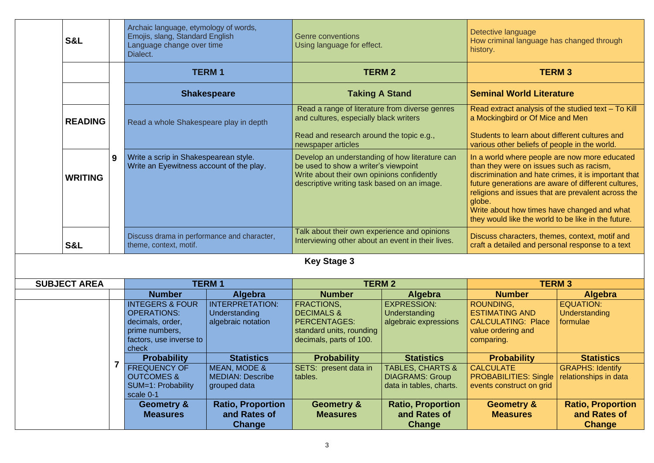| Archaic language, etymology of words,<br>Emojis, slang, Standard English<br><b>S&amp;L</b><br>Language change over time<br>Dialect. |                                                                                                                            |                                                                      | <b>Genre conventions</b><br>Using language for effect.                                                                                                                                                                                                                                                                                                   |                                                                                  | Detective language<br>How criminal language has changed through<br>history.                                                                                                                                                                                                                                                                                                    |                                                      |
|-------------------------------------------------------------------------------------------------------------------------------------|----------------------------------------------------------------------------------------------------------------------------|----------------------------------------------------------------------|----------------------------------------------------------------------------------------------------------------------------------------------------------------------------------------------------------------------------------------------------------------------------------------------------------------------------------------------------------|----------------------------------------------------------------------------------|--------------------------------------------------------------------------------------------------------------------------------------------------------------------------------------------------------------------------------------------------------------------------------------------------------------------------------------------------------------------------------|------------------------------------------------------|
|                                                                                                                                     |                                                                                                                            | <b>TERM1</b>                                                         |                                                                                                                                                                                                                                                                                                                                                          | <b>TERM 2</b>                                                                    | <b>TERM3</b>                                                                                                                                                                                                                                                                                                                                                                   |                                                      |
|                                                                                                                                     |                                                                                                                            | <b>Shakespeare</b>                                                   | <b>Taking A Stand</b>                                                                                                                                                                                                                                                                                                                                    |                                                                                  | <b>Seminal World Literature</b>                                                                                                                                                                                                                                                                                                                                                |                                                      |
| <b>READING</b>                                                                                                                      | Read a whole Shakespeare play in depth                                                                                     |                                                                      | Read a range of literature from diverse genres<br>Read extract analysis of the studied text - To Kill<br>and cultures, especially black writers<br>a Mockingbird or Of Mice and Men<br>Read and research around the topic e.g.,<br>Students to learn about different cultures and<br>newspaper articles<br>various other beliefs of people in the world. |                                                                                  |                                                                                                                                                                                                                                                                                                                                                                                |                                                      |
| 9<br><b>WRITING</b>                                                                                                                 | Write a scrip in Shakespearean style.<br>Write an Eyewitness account of the play.                                          |                                                                      | Develop an understanding of how literature can<br>be used to show a writer's viewpoint<br>Write about their own opinions confidently<br>descriptive writing task based on an image.                                                                                                                                                                      |                                                                                  | In a world where people are now more educated<br>than they were on issues such as racism,<br>discrimination and hate crimes, it is important that<br>future generations are aware of different cultures,<br>religions and issues that are prevalent across the<br>globe.<br>Write about how times have changed and what<br>they would like the world to be like in the future. |                                                      |
| <b>S&amp;L</b>                                                                                                                      | Discuss drama in performance and character,<br>theme, context, motif.                                                      |                                                                      | Talk about their own experience and opinions<br>Interviewing other about an event in their lives.                                                                                                                                                                                                                                                        |                                                                                  | Discuss characters, themes, context, motif and<br>craft a detailed and personal response to a text                                                                                                                                                                                                                                                                             |                                                      |
|                                                                                                                                     |                                                                                                                            |                                                                      | <b>Key Stage 3</b>                                                                                                                                                                                                                                                                                                                                       |                                                                                  |                                                                                                                                                                                                                                                                                                                                                                                |                                                      |
| <b>SUBJECT AREA</b>                                                                                                                 |                                                                                                                            | <b>TERM1</b>                                                         | <b>TERM 2</b>                                                                                                                                                                                                                                                                                                                                            |                                                                                  | <b>TERM3</b>                                                                                                                                                                                                                                                                                                                                                                   |                                                      |
|                                                                                                                                     | <b>Number</b>                                                                                                              | Algebra                                                              | <b>Number</b>                                                                                                                                                                                                                                                                                                                                            | <b>Algebra</b>                                                                   | <b>Number</b>                                                                                                                                                                                                                                                                                                                                                                  | <b>Algebra</b>                                       |
|                                                                                                                                     | <b>INTEGERS &amp; FOUR</b><br><b>OPERATIONS:</b><br>decimals, order,<br>prime numbers,<br>factors, use inverse to<br>check | <b>INTERPRETATION:</b><br><b>Understanding</b><br>algebraic notation | <b>FRACTIONS,</b><br><b>DECIMALS &amp;</b><br><b>PERCENTAGES:</b><br>standard units, rounding<br>decimals, parts of 100.                                                                                                                                                                                                                                 | <b>EXPRESSION:</b><br><b>Understanding</b><br>algebraic expressions              | ROUNDING,<br><b>ESTIMATING AND</b><br><b>CALCULATING: Place</b><br>value ordering and<br>comparing.                                                                                                                                                                                                                                                                            | <b>EQUATION:</b><br><b>Understanding</b><br>formulae |
|                                                                                                                                     | <b>Probability</b>                                                                                                         | <b>Statistics</b>                                                    | <b>Probability</b>                                                                                                                                                                                                                                                                                                                                       | <b>Statistics</b>                                                                | <b>Probability</b>                                                                                                                                                                                                                                                                                                                                                             | <b>Statistics</b>                                    |
|                                                                                                                                     | <b>FREQUENCY OF</b><br><b>OUTCOMES &amp;</b><br>SUM=1: Probability<br>scale 0-1                                            | MEAN, MODE &<br><b>MEDIAN: Describe</b><br>grouped data              | SETS: present data in<br>tables.                                                                                                                                                                                                                                                                                                                         | <b>TABLES, CHARTS &amp;</b><br><b>DIAGRAMS: Group</b><br>data in tables, charts. | <b>CALCULATE</b><br><b>PROBABILITIES: Single</b><br>events construct on grid                                                                                                                                                                                                                                                                                                   | <b>GRAPHS: Identify</b><br>relationships in data     |
|                                                                                                                                     | <b>Geometry &amp;</b>                                                                                                      | <b>Ratio, Proportion</b>                                             | <b>Geometry &amp;</b>                                                                                                                                                                                                                                                                                                                                    | <b>Ratio, Proportion</b>                                                         | <b>Geometry &amp;</b>                                                                                                                                                                                                                                                                                                                                                          | <b>Ratio, Proportion</b>                             |
|                                                                                                                                     | <b>Measures</b>                                                                                                            | and Rates of                                                         | <b>Measures</b>                                                                                                                                                                                                                                                                                                                                          | and Rates of                                                                     | <b>Measures</b>                                                                                                                                                                                                                                                                                                                                                                | and Rates of                                         |
|                                                                                                                                     |                                                                                                                            | Change                                                               |                                                                                                                                                                                                                                                                                                                                                          | <b>Change</b>                                                                    |                                                                                                                                                                                                                                                                                                                                                                                | <b>Change</b>                                        |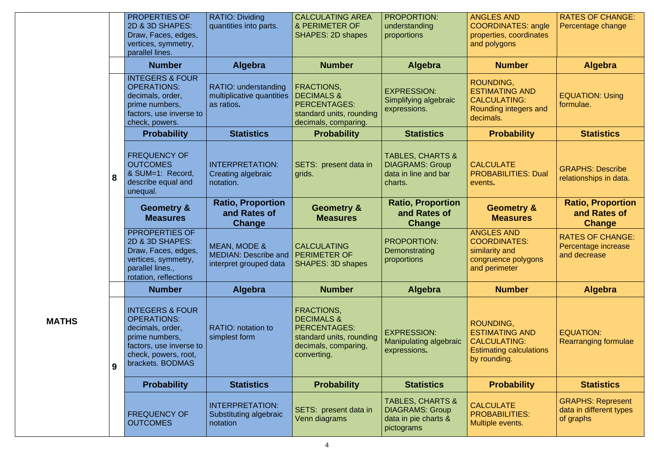|              |   | PROPERTIES OF<br>2D & 3D SHAPES:<br>Draw, Faces, edges,<br>vertices, symmetry,<br>parallel lines.                                                             | <b>RATIO: Dividing</b><br>quantities into parts.                                         | <b>CALCULATING AREA</b><br>& PERIMETER OF<br><b>SHAPES: 2D shapes</b>                                                                | <b>PROPORTION:</b><br>understanding<br>proportions                                          | <b>ANGLES AND</b><br><b>COORDINATES: angle</b><br>properties, coordinates<br>and polygons                   | <b>RATES OF CHANGE:</b><br>Percentage change                     |
|--------------|---|---------------------------------------------------------------------------------------------------------------------------------------------------------------|------------------------------------------------------------------------------------------|--------------------------------------------------------------------------------------------------------------------------------------|---------------------------------------------------------------------------------------------|-------------------------------------------------------------------------------------------------------------|------------------------------------------------------------------|
|              |   | <b>Number</b>                                                                                                                                                 | <b>Algebra</b>                                                                           | <b>Number</b>                                                                                                                        | Algebra                                                                                     | <b>Number</b>                                                                                               | <b>Algebra</b>                                                   |
|              |   | <b>INTEGERS &amp; FOUR</b><br><b>OPERATIONS:</b><br>decimals, order,<br>prime numbers,<br>factors, use inverse to<br>check, powers.                           | RATIO: understanding<br>multiplicative quantities<br>as ratios.                          | FRACTIONS,<br><b>DECIMALS &amp;</b><br><b>PERCENTAGES:</b><br>standard units, rounding<br>decimals, comparing.                       | <b>EXPRESSION:</b><br>Simplifying algebraic<br>expressions.                                 | ROUNDING,<br><b>ESTIMATING AND</b><br><b>CALCULATING:</b><br>Rounding integers and<br>decimals.             | <b>EQUATION: Using</b><br>formulae.                              |
|              |   | <b>Probability</b>                                                                                                                                            | <b>Statistics</b>                                                                        | <b>Probability</b>                                                                                                                   | <b>Statistics</b>                                                                           | <b>Probability</b>                                                                                          | <b>Statistics</b>                                                |
|              | 8 | <b>FREQUENCY OF</b><br><b>OUTCOMES</b><br>& SUM=1: Record,<br>describe equal and<br>unequal.                                                                  | <b>INTERPRETATION:</b><br>Creating algebraic<br>notation.                                | SETS: present data in<br>grids.                                                                                                      | <b>TABLES, CHARTS &amp;</b><br><b>DIAGRAMS: Group</b><br>data in line and bar<br>charts.    | <b>CALCULATE</b><br><b>PROBABILITIES: Dual</b><br>events.                                                   | <b>GRAPHS: Describe</b><br>relationships in data.                |
|              |   | <b>Geometry &amp;</b><br><b>Measures</b>                                                                                                                      | <b>Ratio, Proportion</b><br>and Rates of<br>Change                                       | <b>Geometry &amp;</b><br><b>Measures</b>                                                                                             | <b>Ratio, Proportion</b><br>and Rates of<br><b>Change</b>                                   | <b>Geometry &amp;</b><br><b>Measures</b>                                                                    | <b>Ratio, Proportion</b><br>and Rates of<br><b>Change</b>        |
|              |   | PPROPERTIES OF<br>2D & 3D SHAPES:<br>Draw, Faces, edges,<br>vertices, symmetry,<br>parallel lines.,<br>rotation, reflections                                  | <b>MEAN, MODE &amp;</b><br>MEDIAN: Describe and   PERIMETER OF<br>interpret grouped data | <b>CALCULATING</b><br><b>SHAPES: 3D shapes</b>                                                                                       | <b>PROPORTION:</b><br>Demonstrating<br>proportions                                          | <b>ANGLES AND</b><br><b>COORDINATES:</b><br>similarity and<br>congruence polygons<br>and perimeter          | <b>RATES OF CHANGE:</b><br>Percentage increase<br>and decrease   |
|              |   | <b>Number</b>                                                                                                                                                 | <b>Algebra</b>                                                                           | <b>Number</b>                                                                                                                        | Algebra                                                                                     | <b>Number</b>                                                                                               | <b>Algebra</b>                                                   |
| <b>MATHS</b> | 9 | <b>INTEGERS &amp; FOUR</b><br><b>OPERATIONS:</b><br>decimals, order,<br>prime numbers,<br>factors, use inverse to<br>check, powers, root,<br>brackets. BODMAS | <b>RATIO:</b> notation to<br>simplest form                                               | <b>FRACTIONS,</b><br><b>DECIMALS &amp;</b><br><b>PERCENTAGES:</b><br>standard units, rounding<br>decimals, comparing,<br>converting. | <b>EXPRESSION:</b><br><b>Manipulating algebraic</b><br>expressions.                         | ROUNDING,<br><b>ESTIMATING AND</b><br><b>CALCULATING:</b><br><b>Estimating calculations</b><br>by rounding. | <b>EQUATION:</b><br><b>Rearranging formulae</b>                  |
|              |   | <b>Probability</b>                                                                                                                                            | <b>Statistics</b>                                                                        | <b>Probability</b>                                                                                                                   | <b>Statistics</b>                                                                           | <b>Probability</b>                                                                                          | <b>Statistics</b>                                                |
|              |   | <b>FREQUENCY OF</b><br><b>OUTCOMES</b>                                                                                                                        | <b>INTERPRETATION:</b><br>Substituting algebraic<br>notation                             | SETS: present data in<br>Venn diagrams                                                                                               | <b>TABLES, CHARTS &amp;</b><br><b>DIAGRAMS: Group</b><br>data in pie charts &<br>pictograms | <b>CALCULATE</b><br><b>PROBABILITIES:</b><br>Multiple events.                                               | <b>GRAPHS: Represent</b><br>data in different types<br>of graphs |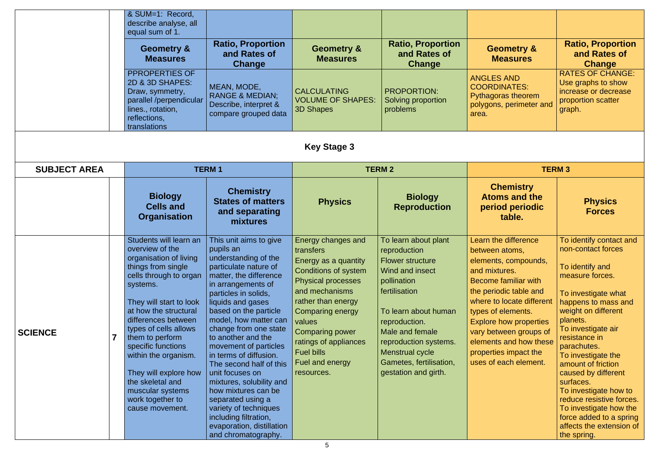|                     |  | & SUM=1: Record,<br>describe analyse, all<br>equal sum of 1.<br><b>Geometry &amp;</b><br><b>Measures</b><br>PPROPERTIES OF<br>2D & 3D SHAPES:<br>Draw, symmetry,<br>parallel /perpendicular<br>lines., rotation,<br>reflections,<br>translations                                                                                                                                                             | <b>Ratio, Proportion</b><br>and Rates of<br>Change<br>MEAN, MODE,<br><b>RANGE &amp; MEDIAN;</b><br>Describe, interpret &<br>compare grouped data                                                                                                                                                                                                                                                                                                                                                                                                                  | <b>Geometry &amp;</b><br><b>Measures</b><br><b>CALCULATING</b><br><b>VOLUME OF SHAPES:</b><br><b>3D Shapes</b>                                                                                                                                                                                                 | <b>Ratio, Proportion</b><br>and Rates of<br><b>Change</b><br><b>PROPORTION:</b><br>Solving proportion<br>problems                                                                                                                                                             | <b>Geometry &amp;</b><br><b>Measures</b><br><b>ANGLES AND</b><br><b>COORDINATES:</b><br>Pythagoras theorem<br>polygons, perimeter and<br>area.                                                                                                                                                                                     | <b>Ratio, Proportion</b><br>and Rates of<br><b>Change</b><br><b>RATES OF CHANGE:</b><br>Use graphs to show<br>increase or decrease<br>proportion scatter<br>graph.                                                                                                                                                                                                                                                                                              |
|---------------------|--|--------------------------------------------------------------------------------------------------------------------------------------------------------------------------------------------------------------------------------------------------------------------------------------------------------------------------------------------------------------------------------------------------------------|-------------------------------------------------------------------------------------------------------------------------------------------------------------------------------------------------------------------------------------------------------------------------------------------------------------------------------------------------------------------------------------------------------------------------------------------------------------------------------------------------------------------------------------------------------------------|----------------------------------------------------------------------------------------------------------------------------------------------------------------------------------------------------------------------------------------------------------------------------------------------------------------|-------------------------------------------------------------------------------------------------------------------------------------------------------------------------------------------------------------------------------------------------------------------------------|------------------------------------------------------------------------------------------------------------------------------------------------------------------------------------------------------------------------------------------------------------------------------------------------------------------------------------|-----------------------------------------------------------------------------------------------------------------------------------------------------------------------------------------------------------------------------------------------------------------------------------------------------------------------------------------------------------------------------------------------------------------------------------------------------------------|
| <b>Key Stage 3</b>  |  |                                                                                                                                                                                                                                                                                                                                                                                                              |                                                                                                                                                                                                                                                                                                                                                                                                                                                                                                                                                                   |                                                                                                                                                                                                                                                                                                                |                                                                                                                                                                                                                                                                               |                                                                                                                                                                                                                                                                                                                                    |                                                                                                                                                                                                                                                                                                                                                                                                                                                                 |
| <b>SUBJECT AREA</b> |  | <b>Biology</b><br><b>Cells and</b><br><b>Organisation</b>                                                                                                                                                                                                                                                                                                                                                    | <b>TERM1</b><br><b>Chemistry</b><br><b>States of matters</b><br>and separating<br>mixtures                                                                                                                                                                                                                                                                                                                                                                                                                                                                        | <b>Physics</b>                                                                                                                                                                                                                                                                                                 | <b>TERM 2</b><br><b>Biology</b><br><b>Reproduction</b>                                                                                                                                                                                                                        | <b>TERM3</b><br><b>Chemistry</b><br><b>Atoms and the</b><br>period periodic<br>table.                                                                                                                                                                                                                                              | <b>Physics</b><br><b>Forces</b>                                                                                                                                                                                                                                                                                                                                                                                                                                 |
| <b>SCIENCE</b>      |  | Students will learn an<br>overview of the<br>organisation of living<br>things from single<br>cells through to organ<br>systems.<br>They will start to look<br>at how the structural<br>differences between<br>types of cells allows<br>them to perform<br>specific functions<br>within the organism.<br>They will explore how<br>the skeletal and<br>muscular systems<br>work together to<br>cause movement. | This unit aims to give<br>pupils an<br>understanding of the<br>particulate nature of<br>matter, the difference<br>in arrangements of<br>particles in solids,<br>liquids and gases<br>based on the particle<br>model, how matter can<br>change from one state<br>to another and the<br>movement of particles<br>in terms of diffusion.<br>The second half of this<br>unit focuses on<br>mixtures, solubility and<br>how mixtures can be<br>separated using a<br>variety of techniques<br>including filtration,<br>evaporation, distillation<br>and chromatography. | Energy changes and<br>transfers<br>Energy as a quantity<br><b>Conditions of system</b><br><b>Physical processes</b><br>and mechanisms<br>rather than energy<br><b>Comparing energy</b><br>values<br><b>Comparing power</b><br>ratings of appliances<br><b>Fuel bills</b><br>Fuel and energy<br>resources.<br>5 | To learn about plant<br>reproduction<br><b>Flower structure</b><br>Wind and insect<br>pollination<br>fertilisation<br>To learn about human<br>reproduction.<br>Male and female<br>reproduction systems.<br>Menstrual cycle<br>Gametes, fertilisation,<br>gestation and girth. | <b>Learn the difference</b><br>between atoms,<br>elements, compounds,<br>and mixtures.<br>Become familiar with<br>the periodic table and<br>where to locate different<br>types of elements.<br><b>Explore how properties</b><br>vary between groups of<br>elements and how these<br>properties impact the<br>uses of each element. | To identify contact and<br>non-contact forces<br>To identify and<br>measure forces.<br>To investigate what<br>happens to mass and<br>weight on different<br>planets.<br>To investigate air<br>resistance in<br>parachutes.<br>To investigate the<br>amount of friction<br>caused by different<br>surfaces.<br>To investigate how to<br>reduce resistive forces.<br>To investigate how the<br>force added to a spring<br>affects the extension of<br>the spring. |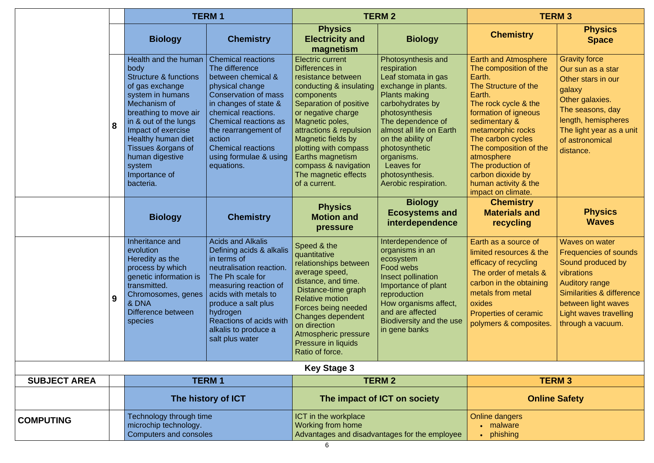|                     |   | <b>TERM1</b>                                                                                                                                                                                                                                                                                            |                                                                                                                                                                                                                                                                                                     | <b>TERM 2</b>                                                                                                                                                                                                                                                                                                                              |                                                                                                                                                                                                                                                                                                              | <b>TERM 3</b>                                                                                                                                                                                                                                                                                                                                |                                                                                                                                                                                                                             |
|---------------------|---|---------------------------------------------------------------------------------------------------------------------------------------------------------------------------------------------------------------------------------------------------------------------------------------------------------|-----------------------------------------------------------------------------------------------------------------------------------------------------------------------------------------------------------------------------------------------------------------------------------------------------|--------------------------------------------------------------------------------------------------------------------------------------------------------------------------------------------------------------------------------------------------------------------------------------------------------------------------------------------|--------------------------------------------------------------------------------------------------------------------------------------------------------------------------------------------------------------------------------------------------------------------------------------------------------------|----------------------------------------------------------------------------------------------------------------------------------------------------------------------------------------------------------------------------------------------------------------------------------------------------------------------------------------------|-----------------------------------------------------------------------------------------------------------------------------------------------------------------------------------------------------------------------------|
|                     |   | <b>Biology</b>                                                                                                                                                                                                                                                                                          | <b>Chemistry</b>                                                                                                                                                                                                                                                                                    | <b>Physics</b><br><b>Electricity and</b><br>magnetism                                                                                                                                                                                                                                                                                      | <b>Biology</b>                                                                                                                                                                                                                                                                                               | <b>Chemistry</b>                                                                                                                                                                                                                                                                                                                             | <b>Physics</b><br><b>Space</b>                                                                                                                                                                                              |
|                     | 8 | Health and the human<br>body<br><b>Structure &amp; functions</b><br>of gas exchange<br>system in humans<br>Mechanism of<br>breathing to move air<br>in & out of the lungs<br>Impact of exercise<br>Healthy human diet<br>Tissues & organs of<br>human digestive<br>system<br>Importance of<br>bacteria. | <b>Chemical reactions</b><br>The difference<br>between chemical &<br>physical change<br><b>Conservation of mass</b><br>in changes of state &<br>chemical reactions.<br>Chemical reactions as<br>the rearrangement of<br>action<br><b>Chemical reactions</b><br>using formulae & using<br>equations. | <b>Electric current</b><br>Differences in<br>resistance between<br>conducting & insulating<br>components<br>Separation of positive<br>or negative charge<br>Magnetic poles,<br>attractions & repulsion<br>Magnetic fields by<br>plotting with compass<br>Earths magnetism<br>compass & navigation<br>The magnetic effects<br>of a current. | Photosynthesis and<br>respiration<br>Leaf stomata in gas<br>exchange in plants.<br><b>Plants making</b><br>carbohydrates by<br>photosynthesis<br>The dependence of<br>almost all life on Earth<br>on the ability of<br>photosynthetic<br>organisms.<br>Leaves for<br>photosynthesis.<br>Aerobic respiration. | <b>Earth and Atmosphere</b><br>The composition of the<br>Earth.<br>The Structure of the<br>Earth.<br>The rock cycle & the<br>formation of igneous<br>sedimentary &<br>metamorphic rocks<br>The carbon cycles<br>The composition of the<br>atmosphere<br>The production of<br>carbon dioxide by<br>human activity & the<br>impact on climate. | <b>Gravity force</b><br>Our sun as a star<br>Other stars in our<br>galaxy<br>Other galaxies.<br>The seasons, day<br>length, hemispheres<br>The light year as a unit<br>of astronomical<br>distance.                         |
|                     |   | <b>Biology</b>                                                                                                                                                                                                                                                                                          | <b>Chemistry</b>                                                                                                                                                                                                                                                                                    | <b>Physics</b><br><b>Motion and</b><br><b>pressure</b>                                                                                                                                                                                                                                                                                     | <b>Biology</b><br><b>Ecosystems and</b><br>interdependence                                                                                                                                                                                                                                                   | <b>Chemistry</b><br><b>Materials and</b><br>recycling                                                                                                                                                                                                                                                                                        | <b>Physics</b><br><b>Waves</b>                                                                                                                                                                                              |
|                     | 9 | Inheritance and<br>evolution<br>Heredity as the<br>process by which<br>genetic information is<br>transmitted.<br>Chromosomes, genes<br>& DNA<br>Difference between<br>species                                                                                                                           | <b>Acids and Alkalis</b><br>Defining acids & alkalis<br>in terms of<br>neutralisation reaction.<br>The Ph scale for<br>measuring reaction of<br>acids with metals to<br>produce a salt plus<br>hydrogen<br>Reactions of acids with<br>alkalis to produce a<br>salt plus water                       | Speed & the<br>quantitative<br>relationships between<br>average speed,<br>distance, and time.<br>Distance-time graph<br><b>Relative motion</b><br>Forces being needed<br><b>Changes dependent</b><br>on direction<br>Atmospheric pressure<br>Pressure in liquids<br>Ratio of force.                                                        | Interdependence of<br>organisms in an<br>ecosystem<br>Food webs<br>Insect pollination<br>Importance of plant<br>reproduction<br>How organisms affect,<br>and are affected<br>Biodiversity and the use<br>in gene banks                                                                                       | Earth as a source of<br>limited resources & the<br>efficacy of recycling<br>The order of metals &<br>carbon in the obtaining<br>metals from metal<br>oxides<br><b>Properties of ceramic</b><br>polymers & composites.                                                                                                                        | <b>Waves on water</b><br><b>Frequencies of sounds</b><br>Sound produced by<br>vibrations<br><b>Auditory range</b><br>Similarities & difference<br>between light waves<br><b>Light waves travelling</b><br>through a vacuum. |
|                     |   |                                                                                                                                                                                                                                                                                                         |                                                                                                                                                                                                                                                                                                     | <b>Key Stage 3</b>                                                                                                                                                                                                                                                                                                                         |                                                                                                                                                                                                                                                                                                              |                                                                                                                                                                                                                                                                                                                                              |                                                                                                                                                                                                                             |
| <b>SUBJECT AREA</b> |   |                                                                                                                                                                                                                                                                                                         | <b>TERM1</b>                                                                                                                                                                                                                                                                                        |                                                                                                                                                                                                                                                                                                                                            | <b>TERM 2</b>                                                                                                                                                                                                                                                                                                |                                                                                                                                                                                                                                                                                                                                              | <b>TERM 3</b>                                                                                                                                                                                                               |
|                     |   |                                                                                                                                                                                                                                                                                                         | The history of ICT                                                                                                                                                                                                                                                                                  |                                                                                                                                                                                                                                                                                                                                            | The impact of ICT on society                                                                                                                                                                                                                                                                                 | <b>Online Safety</b>                                                                                                                                                                                                                                                                                                                         |                                                                                                                                                                                                                             |
| <b>COMPUTING</b>    |   | Technology through time<br>microchip technology.<br>Computers and consoles                                                                                                                                                                                                                              |                                                                                                                                                                                                                                                                                                     | <b>ICT</b> in the workplace<br><b>Working from home</b>                                                                                                                                                                                                                                                                                    | Advantages and disadvantages for the employee                                                                                                                                                                                                                                                                | <b>Online dangers</b><br>malware<br>• phishing                                                                                                                                                                                                                                                                                               |                                                                                                                                                                                                                             |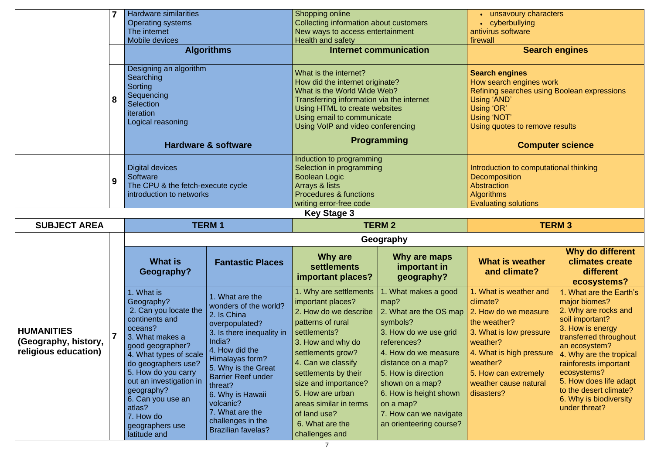|                                                                   |                                     | <b>Hardware similarities</b><br><b>Operating systems</b><br>The internet<br>Mobile devices<br><b>Algorithms</b>                                                                                                                                                                                                       |                                                                                                                                                                                                                                                                                                                            | Shopping online<br>Collecting information about customers<br>New ways to access entertainment<br>Health and safety<br>Internet communication                                                                                                                                                                                |                                                                                                                                                                                                                                                                                                | unsavoury characters<br>cyberbullying<br>antivirus software<br>firewall<br><b>Search engines</b>                                                                                                                         |                                                                                                                                                                                                                                                                                                                      |
|-------------------------------------------------------------------|-------------------------------------|-----------------------------------------------------------------------------------------------------------------------------------------------------------------------------------------------------------------------------------------------------------------------------------------------------------------------|----------------------------------------------------------------------------------------------------------------------------------------------------------------------------------------------------------------------------------------------------------------------------------------------------------------------------|-----------------------------------------------------------------------------------------------------------------------------------------------------------------------------------------------------------------------------------------------------------------------------------------------------------------------------|------------------------------------------------------------------------------------------------------------------------------------------------------------------------------------------------------------------------------------------------------------------------------------------------|--------------------------------------------------------------------------------------------------------------------------------------------------------------------------------------------------------------------------|----------------------------------------------------------------------------------------------------------------------------------------------------------------------------------------------------------------------------------------------------------------------------------------------------------------------|
|                                                                   | 8                                   | Designing an algorithm<br>Searching<br>Sorting<br>Sequencing<br><b>Selection</b><br>iteration<br>Logical reasoning                                                                                                                                                                                                    |                                                                                                                                                                                                                                                                                                                            | What is the internet?<br>How did the internet originate?<br>What is the World Wide Web?<br>Transferring information via the internet<br>Using HTML to create websites<br>Using email to communicate<br>Using VoIP and video conferencing                                                                                    |                                                                                                                                                                                                                                                                                                | <b>Search engines</b><br>How search engines work<br>Refining searches using Boolean expressions<br>Using 'AND'<br>Using 'OR'<br>Using 'NOT'<br>Using quotes to remove results                                            |                                                                                                                                                                                                                                                                                                                      |
|                                                                   |                                     |                                                                                                                                                                                                                                                                                                                       | <b>Hardware &amp; software</b>                                                                                                                                                                                                                                                                                             |                                                                                                                                                                                                                                                                                                                             | <b>Programming</b>                                                                                                                                                                                                                                                                             |                                                                                                                                                                                                                          | <b>Computer science</b>                                                                                                                                                                                                                                                                                              |
|                                                                   | 9                                   | <b>Digital devices</b><br>Software<br>The CPU & the fetch-execute cycle<br>introduction to networks                                                                                                                                                                                                                   |                                                                                                                                                                                                                                                                                                                            | Induction to programming<br>Selection in programming<br><b>Boolean Logic</b><br>Arrays & lists<br><b>Procedures &amp; functions</b><br>writing error-free code                                                                                                                                                              |                                                                                                                                                                                                                                                                                                | Introduction to computational thinking<br><b>Decomposition</b><br>Abstraction<br><b>Algorithms</b><br><b>Evaluating solutions</b>                                                                                        |                                                                                                                                                                                                                                                                                                                      |
| <b>Key Stage 3</b>                                                |                                     |                                                                                                                                                                                                                                                                                                                       |                                                                                                                                                                                                                                                                                                                            |                                                                                                                                                                                                                                                                                                                             |                                                                                                                                                                                                                                                                                                |                                                                                                                                                                                                                          |                                                                                                                                                                                                                                                                                                                      |
|                                                                   | <b>SUBJECT AREA</b><br><b>TERM1</b> |                                                                                                                                                                                                                                                                                                                       |                                                                                                                                                                                                                                                                                                                            |                                                                                                                                                                                                                                                                                                                             | <b>TERM 2</b>                                                                                                                                                                                                                                                                                  |                                                                                                                                                                                                                          | <b>TERM 3</b>                                                                                                                                                                                                                                                                                                        |
|                                                                   |                                     |                                                                                                                                                                                                                                                                                                                       |                                                                                                                                                                                                                                                                                                                            | Geography                                                                                                                                                                                                                                                                                                                   |                                                                                                                                                                                                                                                                                                |                                                                                                                                                                                                                          |                                                                                                                                                                                                                                                                                                                      |
|                                                                   |                                     | What is<br>Geography?                                                                                                                                                                                                                                                                                                 | <b>Fantastic Places</b>                                                                                                                                                                                                                                                                                                    | Why are<br><b>settlements</b><br>important places?                                                                                                                                                                                                                                                                          | Why are maps<br>important in<br>geography?                                                                                                                                                                                                                                                     | <b>What is weather</b><br>and climate?                                                                                                                                                                                   | Why do different<br>climates create<br>different<br>ecosystems?                                                                                                                                                                                                                                                      |
| <b>HUMANITIES</b><br>(Geography, history,<br>religious education) |                                     | 1. What is<br>Geography?<br>2. Can you locate the<br>continents and<br>oceans?<br>3. What makes a<br>good geographer?<br>4. What types of scale<br>do geographers use?<br>5. How do you carry<br>out an investigation in<br>geography?<br>6. Can you use an<br>atlas?<br>7. How do<br>geographers use<br>latitude and | 1. What are the<br>wonders of the world?<br>2. Is China<br>overpopulated?<br>3. Is there inequality in<br>India?<br>4. How did the<br>Himalayas form?<br>5. Why is the Great<br><b>Barrier Reef under</b><br>threat?<br>6. Why is Hawaii<br>volcanic?<br>7. What are the<br>challenges in the<br><b>Brazilian favelas?</b> | . Why are settlements<br>important places?<br>2. How do we describe<br>patterns of rural<br>settlements?<br>3. How and why do<br>settlements grow?<br>4. Can we classify<br>settlements by their<br>size and importance?<br>5. How are urban<br>areas similar in terms<br>of land use?<br>6. What are the<br>challenges and | 1. What makes a good<br>map?<br>2. What are the OS map<br>symbols?<br>3. How do we use grid<br>references?<br>4. How do we measure<br>distance on a map?<br>5. How is direction<br>shown on a map?<br>6. How is height shown<br>on a map?<br>7. How can we navigate<br>an orienteering course? | 1. What is weather and<br>climate?<br>2. How do we measure<br>the weather?<br>3. What is low pressure<br>weather?<br>4. What is high pressure<br>weather?<br>5. How can extremely<br>weather cause natural<br>disasters? | 1. What are the Earth's<br>major biomes?<br>2. Why are rocks and<br>soil important?<br>3. How is energy<br>transferred throughout<br>an ecosystem?<br>4. Why are the tropical<br>rainforests important<br>ecosystems?<br>5. How does life adapt<br>to the desert climate?<br>6. Why is biodiversity<br>under threat? |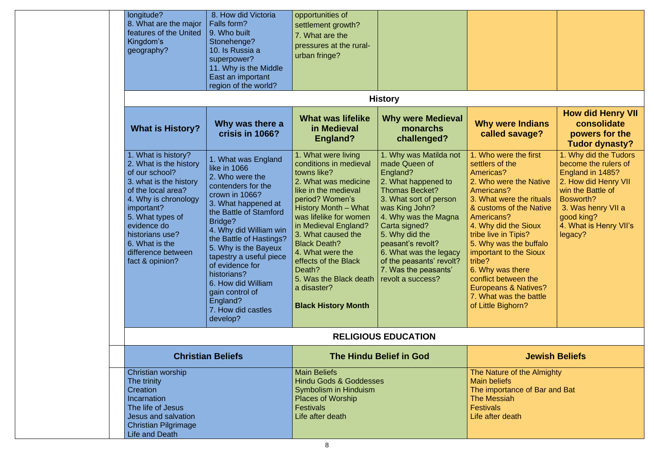| longitude?<br>8. What are the major<br>features of the United<br>Kingdom's<br>geography?                                                                                                                                                                              | 8. How did Victoria<br>Falls form?<br>9. Who built<br>Stonehenge?<br>10. Is Russia a<br>superpower?<br>11. Why is the Middle<br>East an important<br>region of the world?                                                                                                                                                                                                                   | opportunities of<br>settlement growth?<br>7. What are the<br>pressures at the rural-<br>urban fringe?                                                                                                                                                                                                                                                                                                   |                                                                                                                                                                                                                                                                                                               |                                                                                                                                                                                                                                                                                                                                                                                                                 |                                                                                                                                                                                                      |
|-----------------------------------------------------------------------------------------------------------------------------------------------------------------------------------------------------------------------------------------------------------------------|---------------------------------------------------------------------------------------------------------------------------------------------------------------------------------------------------------------------------------------------------------------------------------------------------------------------------------------------------------------------------------------------|---------------------------------------------------------------------------------------------------------------------------------------------------------------------------------------------------------------------------------------------------------------------------------------------------------------------------------------------------------------------------------------------------------|---------------------------------------------------------------------------------------------------------------------------------------------------------------------------------------------------------------------------------------------------------------------------------------------------------------|-----------------------------------------------------------------------------------------------------------------------------------------------------------------------------------------------------------------------------------------------------------------------------------------------------------------------------------------------------------------------------------------------------------------|------------------------------------------------------------------------------------------------------------------------------------------------------------------------------------------------------|
|                                                                                                                                                                                                                                                                       |                                                                                                                                                                                                                                                                                                                                                                                             |                                                                                                                                                                                                                                                                                                                                                                                                         | <b>History</b>                                                                                                                                                                                                                                                                                                |                                                                                                                                                                                                                                                                                                                                                                                                                 |                                                                                                                                                                                                      |
| <b>What is History?</b>                                                                                                                                                                                                                                               | Why was there a<br>crisis in 1066?                                                                                                                                                                                                                                                                                                                                                          | <b>What was lifelike</b><br>in Medieval<br><b>England?</b>                                                                                                                                                                                                                                                                                                                                              | <b>Why were Medieval</b><br>monarchs<br>challenged?                                                                                                                                                                                                                                                           | <b>Why were Indians</b><br>called savage?                                                                                                                                                                                                                                                                                                                                                                       | <b>How did Henry VII</b><br>consolidate<br>powers for the<br><b>Tudor dynasty?</b>                                                                                                                   |
| . What is history?<br>2. What is the history<br>of our school?<br>3. what is the history<br>of the local area?<br>4. Why is chronology<br>important?<br>5. What types of<br>evidence do<br>historians use?<br>6. What is the<br>difference between<br>fact & opinion? | 1. What was England<br>like in 1066<br>2. Who were the<br>contenders for the<br>crown in 1066?<br>3. What happened at<br>the Battle of Stamford<br>Bridge?<br>4. Why did William win<br>the Battle of Hastings?<br>5. Why is the Bayeux<br>tapestry a useful piece<br>of evidence for<br>historians?<br>6. How did William<br>gain control of<br>England?<br>7. How did castles<br>develop? | 1. What were living<br>conditions in medieval<br>towns like?<br>2. What was medicine<br>like in the medieval<br>period? Women's<br>History Month - What<br>was lifelike for women<br>in Medieval England?<br>3. What caused the<br><b>Black Death?</b><br>4. What were the<br>effects of the Black<br>Death?<br>5. Was the Black death   revolt a success?<br>a disaster?<br><b>Black History Month</b> | 1. Why was Matilda not<br>made Queen of<br>England?<br>2. What happened to<br><b>Thomas Becket?</b><br>3. What sort of person<br>was King John?<br>4. Why was the Magna<br>Carta signed?<br>5. Why did the<br>peasant's revolt?<br>6. What was the legacy<br>of the peasants' revolt?<br>7. Was the peasants' | 1. Who were the first<br>settlers of the<br>Americas?<br>2. Who were the Native<br>Americans?<br>3. What were the rituals<br>& customs of the Native<br>Americans?<br>4. Why did the Sioux<br>tribe live in Tipis?<br>5. Why was the buffalo<br>important to the Sioux<br>tribe?<br>6. Why was there<br>conflict between the<br><b>Europeans &amp; Natives?</b><br>7. What was the battle<br>of Little Bighorn? | 1. Why did the Tudors<br>become the rulers of<br>England in 1485?<br>2. How did Henry VII<br>win the Battle of<br>Bosworth?<br>3. Was henry VII a<br>good king?<br>4. What is Henry VII's<br>legacy? |
|                                                                                                                                                                                                                                                                       |                                                                                                                                                                                                                                                                                                                                                                                             |                                                                                                                                                                                                                                                                                                                                                                                                         | <b>RELIGIOUS EDUCATION</b>                                                                                                                                                                                                                                                                                    |                                                                                                                                                                                                                                                                                                                                                                                                                 |                                                                                                                                                                                                      |
|                                                                                                                                                                                                                                                                       | <b>Christian Beliefs</b><br>Christian worship<br><b>Main Beliefs</b><br>The trinity<br>Creation<br>Incarnation<br><b>Places of Worship</b><br>The life of Jesus<br>Jesus and salvation<br><b>Christian Pilgrimage</b><br>Life and Death                                                                                                                                                     |                                                                                                                                                                                                                                                                                                                                                                                                         | <b>The Hindu Belief in God</b>                                                                                                                                                                                                                                                                                |                                                                                                                                                                                                                                                                                                                                                                                                                 | <b>Jewish Beliefs</b>                                                                                                                                                                                |
|                                                                                                                                                                                                                                                                       |                                                                                                                                                                                                                                                                                                                                                                                             |                                                                                                                                                                                                                                                                                                                                                                                                         | <b>Hindu Gods &amp; Goddesses</b>                                                                                                                                                                                                                                                                             | The Nature of the Almighty<br><b>Main beliefs</b><br>The importance of Bar and Bat<br><b>The Messiah</b><br><b>Festivals</b><br>Life after death                                                                                                                                                                                                                                                                |                                                                                                                                                                                                      |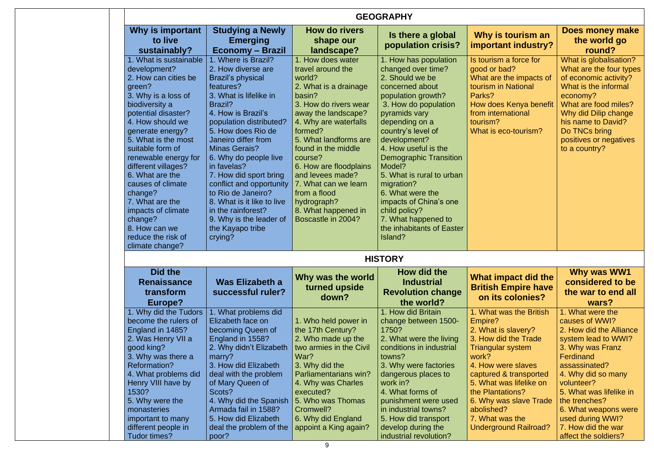|                                                                                                                                                                                                                                                                                                                                                                                                                                             |                                                                                                                                                                                                                                                                                                                                                                                                                                                                                        |                                                                                                                                                                                                                                                                                                                                                                                      | <b>GEOGRAPHY</b>                                                                                                                                                                                                                                                                                                                                                                                                                                     |                                                                                                                                                                                                                                                                                                           |                                                                                                                                                                                                                                                                                          |
|---------------------------------------------------------------------------------------------------------------------------------------------------------------------------------------------------------------------------------------------------------------------------------------------------------------------------------------------------------------------------------------------------------------------------------------------|----------------------------------------------------------------------------------------------------------------------------------------------------------------------------------------------------------------------------------------------------------------------------------------------------------------------------------------------------------------------------------------------------------------------------------------------------------------------------------------|--------------------------------------------------------------------------------------------------------------------------------------------------------------------------------------------------------------------------------------------------------------------------------------------------------------------------------------------------------------------------------------|------------------------------------------------------------------------------------------------------------------------------------------------------------------------------------------------------------------------------------------------------------------------------------------------------------------------------------------------------------------------------------------------------------------------------------------------------|-----------------------------------------------------------------------------------------------------------------------------------------------------------------------------------------------------------------------------------------------------------------------------------------------------------|------------------------------------------------------------------------------------------------------------------------------------------------------------------------------------------------------------------------------------------------------------------------------------------|
| Why is important<br>to live<br>sustainably?                                                                                                                                                                                                                                                                                                                                                                                                 | <b>Studying a Newly</b><br><b>Emerging</b><br><b>Economy – Brazil</b>                                                                                                                                                                                                                                                                                                                                                                                                                  | How do rivers<br>shape our<br>landscape?                                                                                                                                                                                                                                                                                                                                             | Is there a global<br>population crisis?                                                                                                                                                                                                                                                                                                                                                                                                              | Why is tourism an<br>important industry?                                                                                                                                                                                                                                                                  | Does money make<br>the world go<br>round?                                                                                                                                                                                                                                                |
| 1. What is sustainable<br>development?<br>2. How can cities be<br>green?<br>3. Why is a loss of<br>biodiversity a<br>potential disaster?<br>4. How should we<br>generate energy?<br>5. What is the most<br>suitable form of<br>renewable energy for<br>different villages?<br>6. What are the<br>causes of climate<br>change?<br>7. What are the<br>impacts of climate<br>change?<br>8. How can we<br>reduce the risk of<br>climate change? | 1. Where is Brazil?<br>2. How diverse are<br><b>Brazil's physical</b><br>features?<br>3. What is lifelike in<br><b>Brazil?</b><br>4. How is Brazil's<br>population distributed?<br>5. How does Rio de<br>Janeiro differ from<br><b>Minas Gerais?</b><br>6. Why do people live<br>in favelas?<br>7. How did sport bring<br>conflict and opportunity<br>to Rio de Janeiro?<br>8. What is it like to live<br>in the rainforest?<br>9. Why is the leader of<br>the Kayapo tribe<br>crying? | 1. How does water<br>travel around the<br>world?<br>2. What is a drainage<br>basin?<br>3. How do rivers wear<br>away the landscape?<br>4. Why are waterfalls<br>formed?<br>5. What landforms are<br>found in the middle<br>course?<br>6. How are floodplains<br>and levees made?<br>7. What can we learn<br>from a flood<br>hydrograph?<br>8. What happened in<br>Boscastle in 2004? | 1. How has population<br>changed over time?<br>2. Should we be<br>concerned about<br>population growth?<br>3. How do population<br>pyramids vary<br>depending on a<br>country's level of<br>development?<br>4. How useful is the<br><b>Demographic Transition</b><br>Model?<br>5. What is rural to urban<br>migration?<br>6. What were the<br>impacts of China's one<br>child policy?<br>7. What happened to<br>the inhabitants of Easter<br>Island? | Is tourism a force for<br>good or bad?<br>What are the impacts of<br>tourism in National<br>Parks?<br>How does Kenya benefit<br>from international<br>tourism?<br>What is eco-tourism?                                                                                                                    | What is globalisation?<br>What are the four types<br>of economic activity?<br>What is the informal<br>economy?<br>What are food miles?<br>Why did Dilip change<br>his name to David?<br>Do TNCs bring<br>positives or negatives<br>to a country?                                         |
|                                                                                                                                                                                                                                                                                                                                                                                                                                             |                                                                                                                                                                                                                                                                                                                                                                                                                                                                                        |                                                                                                                                                                                                                                                                                                                                                                                      | <b>HISTORY</b>                                                                                                                                                                                                                                                                                                                                                                                                                                       |                                                                                                                                                                                                                                                                                                           |                                                                                                                                                                                                                                                                                          |
| Did the<br><b>Renaissance</b><br>transform<br>Europe?                                                                                                                                                                                                                                                                                                                                                                                       | Was Elizabeth a<br>successful ruler?                                                                                                                                                                                                                                                                                                                                                                                                                                                   | Why was the world<br>turned upside<br>down?                                                                                                                                                                                                                                                                                                                                          | How did the<br><b>Industrial</b><br><b>Revolution change</b><br>the world?                                                                                                                                                                                                                                                                                                                                                                           | What impact did the<br><b>British Empire have</b><br>on its colonies?                                                                                                                                                                                                                                     | Why was WW1<br>considered to be<br>the war to end all<br>wars?                                                                                                                                                                                                                           |
| 1. Why did the Tudors<br>become the rulers of<br>England in 1485?<br>2. Was Henry VII a<br>good king?<br>3. Why was there a<br>Reformation?<br>4. What problems did<br>Henry VIII have by<br>1530?<br>5. Why were the<br>monasteries<br>important to many<br>different people in                                                                                                                                                            | 1. What problems did<br>Elizabeth face on<br>becoming Queen of<br>England in 1558?<br>2. Why didn't Elizabeth<br>marry?<br>3. How did Elizabeth<br>deal with the problem<br>of Mary Queen of<br>Scots?<br>4. Why did the Spanish<br>Armada fail in 1588?<br>5. How did Elizabeth                                                                                                                                                                                                       | 1. Who held power in<br>the 17th Century?<br>2. Who made up the<br>two armies in the Civil<br>War?<br>3. Why did the<br>Parliamentarians win?<br>4. Why was Charles<br>executed?<br>5. Who was Thomas<br>Cromwell?<br>6. Why did England                                                                                                                                             | 1. How did Britain<br>change between 1500-<br>1750?<br>2. What were the living<br>conditions in industrial<br>towns?<br>3. Why were factories<br>dangerous places to<br>work in?<br>4. What forms of<br>punishment were used<br>in industrial towns?<br>5. How did transport                                                                                                                                                                         | 1. What was the British<br>Empire?<br>2. What is slavery?<br>3. How did the Trade<br>Triangular system<br>work?<br>4. How were slaves<br>captured & transported<br>5. What was lifelike on<br>the Plantations?<br>6. Why was slave Trade<br>abolished?<br>7. What was the<br><b>Underground Railroad?</b> | 1. What were the<br>causes of WWI?<br>2. How did the Alliance<br>system lead to WWI?<br>3. Why was Franz<br>Ferdinand<br>assassinated?<br>4. Why did so many<br>volunteer?<br>5. What was lifelike in<br>the trenches?<br>6. What weapons were<br>used during WWI?<br>7. How did the war |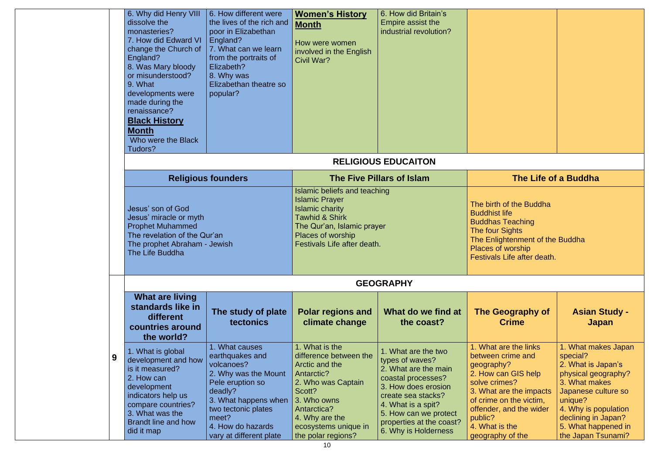|   | 6. Why did Henry VIII<br>dissolve the<br>monasteries?<br>7. How did Edward VI<br>change the Church of<br>England?<br>8. Was Mary bloody<br>or misunderstood?<br>9. What<br>developments were<br>made during the<br>renaissance?<br><b>Black History</b><br><b>Month</b><br>Who were the Black<br>Tudors? | 6. How different were<br>the lives of the rich and<br>poor in Elizabethan<br>England?<br>7. What can we learn<br>from the portraits of<br>Elizabeth?<br>8. Why was<br>Elizabethan theatre so<br>popular?       | <b>Women's History</b><br><b>Month</b><br>How were women<br>involved in the English<br>Civil War?                                                                                                      | 6. How did Britain's<br>Empire assist the<br>industrial revolution?                                                                                                                                                                  |                                                                                                                                                                                                                                    |                                                                                                                                                                                                                             |  |
|---|----------------------------------------------------------------------------------------------------------------------------------------------------------------------------------------------------------------------------------------------------------------------------------------------------------|----------------------------------------------------------------------------------------------------------------------------------------------------------------------------------------------------------------|--------------------------------------------------------------------------------------------------------------------------------------------------------------------------------------------------------|--------------------------------------------------------------------------------------------------------------------------------------------------------------------------------------------------------------------------------------|------------------------------------------------------------------------------------------------------------------------------------------------------------------------------------------------------------------------------------|-----------------------------------------------------------------------------------------------------------------------------------------------------------------------------------------------------------------------------|--|
|   |                                                                                                                                                                                                                                                                                                          |                                                                                                                                                                                                                |                                                                                                                                                                                                        | <b>RELIGIOUS EDUCAITON</b>                                                                                                                                                                                                           |                                                                                                                                                                                                                                    |                                                                                                                                                                                                                             |  |
|   |                                                                                                                                                                                                                                                                                                          | <b>Religious founders</b>                                                                                                                                                                                      |                                                                                                                                                                                                        | <b>The Five Pillars of Islam</b>                                                                                                                                                                                                     | The Life of a Buddha                                                                                                                                                                                                               |                                                                                                                                                                                                                             |  |
|   | Jesus' son of God<br>Jesus' miracle or myth<br><b>Prophet Muhammed</b><br>The revelation of the Qur'an<br>The prophet Abraham - Jewish<br>The Life Buddha                                                                                                                                                |                                                                                                                                                                                                                | Islamic beliefs and teaching<br><b>Islamic Prayer</b><br><b>Islamic charity</b><br><b>Tawhid &amp; Shirk</b><br>The Qur'an, Islamic prayer<br>Places of worship<br>Festivals Life after death.         |                                                                                                                                                                                                                                      | The birth of the Buddha<br><b>Buddhist life</b><br><b>Buddhas Teaching</b><br>The four Sights<br>The Enlightenment of the Buddha<br>Places of worship<br>Festivals Life after death.                                               |                                                                                                                                                                                                                             |  |
|   |                                                                                                                                                                                                                                                                                                          |                                                                                                                                                                                                                |                                                                                                                                                                                                        | <b>GEOGRAPHY</b>                                                                                                                                                                                                                     |                                                                                                                                                                                                                                    |                                                                                                                                                                                                                             |  |
|   | <b>What are living</b><br>standards like in<br>different<br>countries around<br>the world?                                                                                                                                                                                                               | The study of plate<br><b>tectonics</b>                                                                                                                                                                         | <b>Polar regions and</b><br>climate change                                                                                                                                                             | What do we find at<br>the coast?                                                                                                                                                                                                     | The Geography of<br><b>Crime</b>                                                                                                                                                                                                   | <b>Asian Study -</b><br><b>Japan</b>                                                                                                                                                                                        |  |
| 9 | 1. What is global<br>development and how<br>is it measured?<br>2. How can<br>development<br>indicators help us<br>compare countries?<br>3. What was the<br><b>Brandt line and how</b><br>did it map                                                                                                      | 1. What causes<br>earthquakes and<br>volcanoes?<br>2. Why was the Mount<br>Pele eruption so<br>deadly?<br>3. What happens when<br>two tectonic plates<br>meet?<br>4. How do hazards<br>vary at different plate | 1. What is the<br>difference between the<br>Arctic and the<br>Antarctic?<br>2. Who was Captain<br>Scott?<br>3. Who owns<br>Antarctica?<br>4. Why are the<br>ecosystems unique in<br>the polar regions? | 1. What are the two<br>types of waves?<br>2. What are the main<br>coastal processes?<br>3. How does erosion<br>create sea stacks?<br>4. What is a spit?<br>5. How can we protect<br>properties at the coast?<br>6. Why is Holderness | 1. What are the links<br>between crime and<br>geography?<br>2. How can GIS help<br>solve crimes?<br>3. What are the impacts<br>of crime on the victim,<br>offender, and the wider<br>public?<br>4. What is the<br>geography of the | 1. What makes Japan<br>special?<br>2. What is Japan's<br>physical geography?<br>3. What makes<br>Japanese culture so<br>unique?<br>4. Why is population<br>declining in Japan?<br>5. What happened in<br>the Japan Tsunami? |  |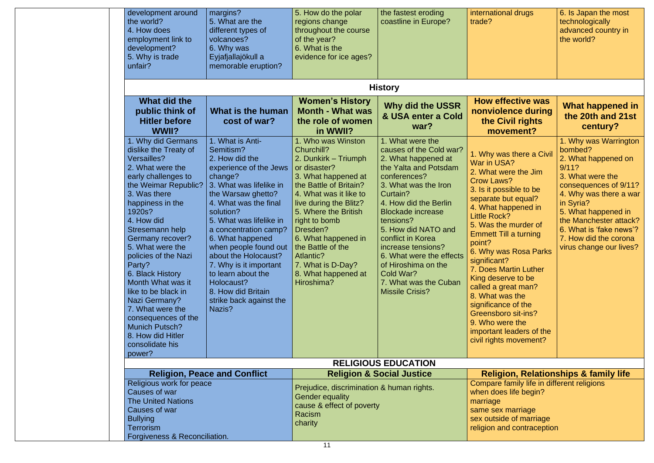- 
- 
- 
- 

- 
- 
- 
- 

| development around<br>the world?<br>4. How does<br>employment link to<br>development?<br>5. Why is trade<br>unfair?                                                                                                                                                                                                                                                                                                                                                                           | margins?<br>5. What are the<br>different types of<br>volcanoes?<br>6. Why was<br>Eyjafjallajökull a<br>memorable eruption?                                                                                                                                                                                                                                                                                                    | 5. How do the polar<br>regions change<br>throughout the course<br>of the year?<br>6. What is the<br>evidence for ice ages?                                                                                                                                                                                                                                                         | the fastest eroding<br>coastline in Europe?                                                                                                                                                                                                                                                                                                                                                            | international drugs<br>trade?                                                                                                                                                                                                                                                                                                                                                                                                                                                                                          | 6. Is Japan the most<br>technologically<br>advanced country in<br>the world?                                                                                                                                                                                                         |
|-----------------------------------------------------------------------------------------------------------------------------------------------------------------------------------------------------------------------------------------------------------------------------------------------------------------------------------------------------------------------------------------------------------------------------------------------------------------------------------------------|-------------------------------------------------------------------------------------------------------------------------------------------------------------------------------------------------------------------------------------------------------------------------------------------------------------------------------------------------------------------------------------------------------------------------------|------------------------------------------------------------------------------------------------------------------------------------------------------------------------------------------------------------------------------------------------------------------------------------------------------------------------------------------------------------------------------------|--------------------------------------------------------------------------------------------------------------------------------------------------------------------------------------------------------------------------------------------------------------------------------------------------------------------------------------------------------------------------------------------------------|------------------------------------------------------------------------------------------------------------------------------------------------------------------------------------------------------------------------------------------------------------------------------------------------------------------------------------------------------------------------------------------------------------------------------------------------------------------------------------------------------------------------|--------------------------------------------------------------------------------------------------------------------------------------------------------------------------------------------------------------------------------------------------------------------------------------|
|                                                                                                                                                                                                                                                                                                                                                                                                                                                                                               |                                                                                                                                                                                                                                                                                                                                                                                                                               |                                                                                                                                                                                                                                                                                                                                                                                    | <b>History</b>                                                                                                                                                                                                                                                                                                                                                                                         |                                                                                                                                                                                                                                                                                                                                                                                                                                                                                                                        |                                                                                                                                                                                                                                                                                      |
| What did the<br>public think of<br><b>Hitler before</b><br>WWII?                                                                                                                                                                                                                                                                                                                                                                                                                              | What is the human<br>cost of war?                                                                                                                                                                                                                                                                                                                                                                                             | <b>Women's History</b><br><b>Month - What was</b><br>the role of women<br>in WWII?                                                                                                                                                                                                                                                                                                 | <b>Why did the USSR</b><br>& USA enter a Cold<br>war?                                                                                                                                                                                                                                                                                                                                                  | <b>How effective was</b><br>nonviolence during<br>the Civil rights<br>movement?                                                                                                                                                                                                                                                                                                                                                                                                                                        | What happened in<br>the 20th and 21st<br>century?                                                                                                                                                                                                                                    |
| 1. Why did Germans<br>dislike the Treaty of<br>Versailles?<br>2. What were the<br>early challenges to<br>the Weimar Republic?<br>3. Was there<br>happiness in the<br>1920s?<br>4. How did<br>Stresemann help<br><b>Germany recover?</b><br>5. What were the<br>policies of the Nazi<br>Party?<br>6. Black History<br>Month What was it<br>like to be black in<br>Nazi Germany?<br>7. What were the<br>consequences of the<br>Munich Putsch?<br>8. How did Hitler<br>consolidate his<br>power? | 1. What is Anti-<br>Semitism?<br>2. How did the<br>experience of the Jews<br>change?<br>3. What was lifelike in<br>the Warsaw ghetto?<br>4. What was the final<br>solution?<br>5. What was lifelike in<br>a concentration camp?<br>6. What happened<br>when people found out<br>about the Holocaust?<br>7. Why is it important<br>to learn about the<br>Holocaust?<br>8. How did Britain<br>strike back against the<br>Nazis? | 1. Who was Winston<br>Churchill?<br>2. Dunkirk - Triumph<br>or disaster?<br>3. What happened at<br>the Battle of Britain?<br>4. What was it like to<br>live during the Blitz?<br>5. Where the British<br>right to bomb<br>Dresden?<br>6. What happened in<br>the Battle of the<br>Atlantic?<br>7. What is D-Day?<br>8. What happened at<br>Hiroshima?                              | 1. What were the<br>causes of the Cold war?<br>2. What happened at<br>the Yalta and Potsdam<br>conferences?<br>3. What was the Iron<br>Curtain?<br>4. How did the Berlin<br><b>Blockade increase</b><br>tensions?<br>5. How did NATO and<br>conflict in Korea<br>increase tensions?<br>6. What were the effects<br>of Hiroshima on the<br>Cold War?<br>7. What was the Cuban<br><b>Missile Crisis?</b> | 1. Why was there a Civil<br>War in USA?<br>2. What were the Jim<br><b>Crow Laws?</b><br>3. Is it possible to be<br>separate but equal?<br>4. What happened in<br><b>Little Rock?</b><br>5. Was the murder of<br><b>Emmett Till a turning</b><br>point?<br>6. Why was Rosa Parks<br>significant?<br>7. Does Martin Luther<br>King deserve to be<br>called a great man?<br>8. What was the<br>significance of the<br><b>Greensboro sit-ins?</b><br>9. Who were the<br>important leaders of the<br>civil rights movement? | 1. Why was Warrington<br>bombed?<br>2. What happened on<br>9/11?<br>3. What were the<br>consequences of 9/11?<br>4. Why was there a war<br>in Syria?<br>5. What happened in<br>the Manchester attack?<br>6. What is 'fake news'?<br>7. How did the corona<br>virus change our lives? |
|                                                                                                                                                                                                                                                                                                                                                                                                                                                                                               |                                                                                                                                                                                                                                                                                                                                                                                                                               |                                                                                                                                                                                                                                                                                                                                                                                    | <b>RELIGIOUS EDUCATION</b>                                                                                                                                                                                                                                                                                                                                                                             |                                                                                                                                                                                                                                                                                                                                                                                                                                                                                                                        |                                                                                                                                                                                                                                                                                      |
| <b>Religion, Peace and Conflict</b><br>Religious work for peace<br>Causes of war<br><b>The United Nations</b><br>Causes of war<br><b>Bullying</b><br>Terrorism<br>Forgiveness & Reconciliation.                                                                                                                                                                                                                                                                                               |                                                                                                                                                                                                                                                                                                                                                                                                                               | <b>Religion &amp; Social Justice</b><br><b>Religion, Relationships &amp; family life</b><br>Compare family life in different religions<br>Prejudice, discrimination & human rights.<br>when does life begin?<br><b>Gender equality</b><br>marriage<br>cause & effect of poverty<br>same sex marriage<br>Racism<br>sex outside of marriage<br>charity<br>religion and contraception |                                                                                                                                                                                                                                                                                                                                                                                                        |                                                                                                                                                                                                                                                                                                                                                                                                                                                                                                                        |                                                                                                                                                                                                                                                                                      |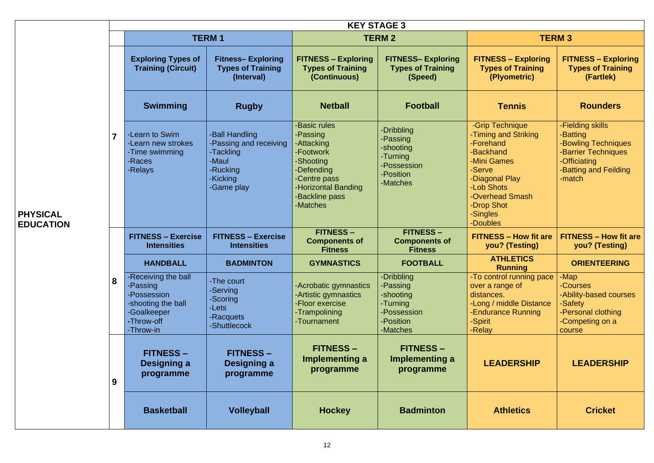|                                     |                         |                                                                                                                |                                                                                                            | <b>KEY STAGE 3</b>                                                                                                                                  |                                                                                         |                                                                                                                                                                                     |                                                                                                                               |
|-------------------------------------|-------------------------|----------------------------------------------------------------------------------------------------------------|------------------------------------------------------------------------------------------------------------|-----------------------------------------------------------------------------------------------------------------------------------------------------|-----------------------------------------------------------------------------------------|-------------------------------------------------------------------------------------------------------------------------------------------------------------------------------------|-------------------------------------------------------------------------------------------------------------------------------|
|                                     |                         |                                                                                                                | <b>TERM1</b>                                                                                               |                                                                                                                                                     | <b>TERM 2</b>                                                                           |                                                                                                                                                                                     | <b>TERM 3</b>                                                                                                                 |
|                                     |                         | <b>Exploring Types of</b><br><b>Training (Circuit)</b>                                                         | <b>Fitness-Exploring</b><br><b>Types of Training</b><br>(Interval)                                         | <b>FITNESS - Exploring</b><br><b>Types of Training</b><br>(Continuous)                                                                              | <b>FITNESS- Exploring</b><br><b>Types of Training</b><br>(Speed)                        | <b>FITNESS - Exploring</b><br><b>Types of Training</b><br>(Plyometric)                                                                                                              | <b>FITNESS - Exploring</b><br><b>Types of Training</b><br>(Fartlek)                                                           |
|                                     |                         | <b>Swimming</b>                                                                                                | <b>Rugby</b>                                                                                               | <b>Netball</b>                                                                                                                                      | <b>Football</b>                                                                         | <b>Tennis</b>                                                                                                                                                                       | <b>Rounders</b>                                                                                                               |
| <b>PHYSICAL</b><br><b>EDUCATION</b> | $\overline{\mathbf{z}}$ | -Learn to Swim<br>-Learn new strokes<br>-Time swimming<br>-Races<br>-Relays                                    | <b>Ball Handling</b><br>-Passing and receiving<br>-Tackling<br>-Maul<br>-Rucking<br>-Kicking<br>-Game play | -Basic rules<br>-Passing<br>-Attacking<br>-Footwork<br>-Shooting<br>-Defending<br>-Centre pass<br>-Horizontal Banding<br>-Backline pass<br>-Matches | -Dribbling<br>-Passing<br>-shooting<br>-Turning<br>-Possession<br>-Position<br>-Matches | -Grip Technique<br>-Timing and Striking<br>-Forehand<br>-Backhand<br>-Mini Games<br>-Serve<br>-Diagonal Play<br>-Lob Shots<br>-Overhead Smash<br>-Drop Shot<br>-Singles<br>-Doubles | -Fielding skills<br>-Batting<br>-Bowling Techniques<br>-Barrier Techniques<br>-Officiating<br>-Batting and Feilding<br>-match |
|                                     | 8                       | <b>FITNESS - Exercise</b><br><b>Intensities</b>                                                                | <b>FITNESS - Exercise</b><br><b>Intensities</b>                                                            | <b>FITNESS-</b><br><b>Components of</b><br><b>Fitness</b>                                                                                           | <b>FITNESS -</b><br><b>Components of</b><br><b>Fitness</b>                              | <b>FITNESS - How fit are</b><br>you? (Testing)                                                                                                                                      | <b>FITNESS - How fit are</b><br>you? (Testing)                                                                                |
|                                     |                         | <b>HANDBALL</b>                                                                                                | <b>BADMINTON</b>                                                                                           | <b>GYMNASTICS</b>                                                                                                                                   | <b>FOOTBALL</b>                                                                         | <b>ATHLETICS</b><br><b>Running</b>                                                                                                                                                  | <b>ORIENTEERING</b>                                                                                                           |
|                                     |                         | -Receiving the ball<br>-Passing<br>-Possession<br>-shooting the ball<br>-Goalkeeper<br>-Throw-off<br>-Throw-in | -The court<br>-Serving<br>-Scoring<br>-Lets<br>-Racquets<br>-Shuttlecock                                   | -Acrobatic gymnastics<br>-Artistic gymnastics<br>-Floor exercise<br>-Trampolining<br>-Tournament                                                    | -Dribbling<br>-Passing<br>-shooting<br>-Turning<br>-Possession<br>-Position<br>-Matches | -To control running pace<br>over a range of<br>distances.<br>-Long / middle Distance<br><b>-Endurance Running</b><br>-Spirit<br>-Relay                                              | -Map<br>-Courses<br>-Ability-based courses<br>-Safety<br>-Personal clothing<br>-Competing on a<br>course                      |
|                                     | 9                       | <b>FITNESS -</b><br>Designing a<br>programme                                                                   | <b>FITNESS -</b><br><b>Designing a</b><br>programme                                                        | <b>FITNESS –</b><br>Implementing a<br>programme                                                                                                     | <b>FITNESS –</b><br>Implementing a<br>programme                                         | <b>LEADERSHIP</b>                                                                                                                                                                   | <b>LEADERSHIP</b>                                                                                                             |
|                                     |                         | <b>Basketball</b>                                                                                              | <b>Volleyball</b>                                                                                          | <b>Hockey</b>                                                                                                                                       | <b>Badminton</b>                                                                        | <b>Athletics</b>                                                                                                                                                                    | <b>Cricket</b>                                                                                                                |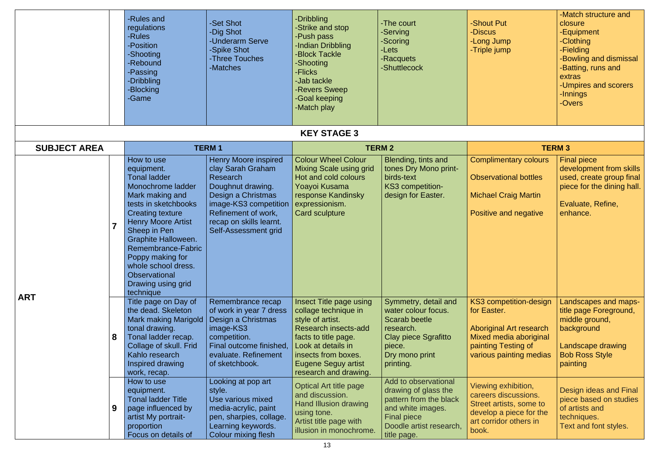|      | -Match structure and   |
|------|------------------------|
| Put  | closure                |
|      | -Equipment             |
| Jump | -Clothing              |
| jump | -Fielding              |
|      | -Bowling and dismissal |
|      | -Batting, runs and     |
|      | extras                 |
|      | -Umpires and scorers   |
|      | -Innings               |
|      | -Overs                 |
|      |                        |
|      |                        |
|      |                        |

|                     | -Rules and<br>regulations<br>-Rules<br>-Position<br>-Shooting<br>-Rebound<br>-Passing<br>-Dribbling<br><b>Blocking</b><br>-Game                                                                                                                                                                                                                   | -Set Shot<br>-Dig Shot<br>-Underarm Serve<br><b>Spike Shot</b><br>-Three Touches<br>-Matches                                                                                                               | -Dribbling<br>-Strike and stop<br><b>Push pass</b><br>-Indian Dribbling<br><b>-Block Tackle</b><br>-Shooting<br>-Flicks<br>-Jab tackle<br>-Revers Sweep<br>-Goal keeping<br>-Match play                                        | -The court<br>-Serving<br>-Scoring<br>-Lets<br>-Racquets<br>-Shuttlecock                                                                                    | -Shout Put<br>-Discus<br>-Long Jump<br>-Triple jump                                                                                                 | $-M$<br>clo<br>$-E$<br>-CI<br>-Fi<br>$-B0$<br>-Ba<br>ext<br>$-U1$<br>$-ln$<br>$-O2$ |
|---------------------|---------------------------------------------------------------------------------------------------------------------------------------------------------------------------------------------------------------------------------------------------------------------------------------------------------------------------------------------------|------------------------------------------------------------------------------------------------------------------------------------------------------------------------------------------------------------|--------------------------------------------------------------------------------------------------------------------------------------------------------------------------------------------------------------------------------|-------------------------------------------------------------------------------------------------------------------------------------------------------------|-----------------------------------------------------------------------------------------------------------------------------------------------------|-------------------------------------------------------------------------------------|
|                     |                                                                                                                                                                                                                                                                                                                                                   |                                                                                                                                                                                                            | <b>KEY STAGE 3</b>                                                                                                                                                                                                             |                                                                                                                                                             |                                                                                                                                                     |                                                                                     |
| <b>SUBJECT AREA</b> |                                                                                                                                                                                                                                                                                                                                                   | <b>TERM1</b>                                                                                                                                                                                               |                                                                                                                                                                                                                                | <b>TERM 2</b>                                                                                                                                               | <b>TERM3</b>                                                                                                                                        |                                                                                     |
| $\overline{7}$      | How to use<br>equipment.<br><b>Tonal ladder</b><br>Monochrome ladder<br>Mark making and<br>tests in sketchbooks<br><b>Creating texture</b><br><b>Henry Moore Artist</b><br>Sheep in Pen<br><b>Graphite Halloween.</b><br>Remembrance-Fabric<br>Poppy making for<br>whole school dress.<br><b>Observational</b><br>Drawing using grid<br>technique | <b>Henry Moore inspired</b><br>clay Sarah Graham<br>Research<br>Doughnut drawing.<br>Design a Christmas<br>image-KS3 competition<br>Refinement of work,<br>recap on skills learnt.<br>Self-Assessment grid | <b>Colour Wheel Colour</b><br><b>Mixing Scale using grid</b><br>Hot and cold colours<br>Yoayoi Kusama<br>response Kandinsky<br>expressionism.<br><b>Card sculpture</b>                                                         | Blending, tints and<br>tones Dry Mono print-<br>birds-text<br>KS3 competition-<br>design for Easter.                                                        | <b>Complimentary colours</b><br><b>Observational bottles</b><br><b>Michael Craig Martin</b><br>Positive and negative                                | Fir<br>de <sup>®</sup><br>US <sub>®</sub><br>pie<br>Ev<br>enl                       |
| <b>ART</b><br>8     | Title page on Day of<br>the dead. Skeleton<br><b>Mark making Marigold</b><br>tonal drawing.<br>Tonal ladder recap.<br>Collage of skull. Frid<br>Kahlo research<br>Inspired drawing<br>work, recap.                                                                                                                                                | Remembrance recap<br>of work in year 7 dress<br>Design a Christmas<br>image-KS3<br>competition.<br>Final outcome finished,<br>evaluate. Refinement<br>of sketchbook.                                       | <b>Insect Title page using</b><br>collage technique in<br>style of artist.<br>Research insects-add<br>facts to title page.<br>Look at details in<br>insects from boxes.<br><b>Eugene Seguy artist</b><br>research and drawing. | Symmetry, detail and<br>water colour focus.<br><b>Scarab beetle</b><br>research.<br><b>Clay piece Sgrafitto</b><br>piece.<br>Dry mono print<br>printing.    | KS3 competition-design<br>for Easter.<br><b>Aboriginal Art research</b><br>Mixed media aboriginal<br>painting Testing of<br>various painting medias | Lai<br>title<br>mio<br>ba<br>La<br><b>Bo</b><br>pai                                 |
| 9                   | How to use<br>equipment.<br><b>Tonal ladder Title</b><br>page influenced by<br>artist My portrait-<br>proportion<br>Focus on details of                                                                                                                                                                                                           | Looking at pop art<br>style.<br>Use various mixed<br>media-acrylic, paint<br>pen, sharpies, collage.<br>Learning keywords.<br>Colour mixing flesh                                                          | <b>Optical Art title page</b><br>and discussion.<br>Hand Illusion drawing<br>using tone.<br>Artist title page with<br>illusion in monochrome.                                                                                  | Add to observational<br>drawing of glass the<br>pattern from the black<br>and white images.<br><b>Final piece</b><br>Doodle artist research,<br>title page. | Viewing exhibition,<br>careers discussions.<br>Street artists, some to<br>develop a piece for the<br>art corridor others in<br>book.                | De<br>pie<br>of<br>tec<br>Te:                                                       |

| <b>TERM3</b>                                                                                                                         |                                                                                                                   |  |  |  |  |  |  |
|--------------------------------------------------------------------------------------------------------------------------------------|-------------------------------------------------------------------------------------------------------------------|--|--|--|--|--|--|
| <b>Complimentary colours</b><br><b>Observational bottles</b>                                                                         | <b>Final piece</b><br>development from skills<br>used, create group final<br>piece for the dining hall.           |  |  |  |  |  |  |
| <b>Michael Craig Martin</b>                                                                                                          |                                                                                                                   |  |  |  |  |  |  |
| Positive and negative                                                                                                                | Evaluate, Refine,<br>enhance.                                                                                     |  |  |  |  |  |  |
|                                                                                                                                      |                                                                                                                   |  |  |  |  |  |  |
| <b>KS3 competition-design</b><br>for Easter.                                                                                         | Landscapes and maps-<br>title page Foreground,<br>middle ground,                                                  |  |  |  |  |  |  |
| <b>Aboriginal Art research</b><br><b>Mixed media aboriginal</b>                                                                      | background                                                                                                        |  |  |  |  |  |  |
| painting Testing of<br>various painting medias                                                                                       | Landscape drawing<br><b>Bob Ross Style</b><br>painting                                                            |  |  |  |  |  |  |
| Viewing exhibition,<br>careers discussions.<br>Street artists, some to<br>develop a piece for the<br>art corridor others in<br>book. | <b>Design ideas and Final</b><br>piece based on studies<br>of artists and<br>techniques.<br>Text and font styles. |  |  |  |  |  |  |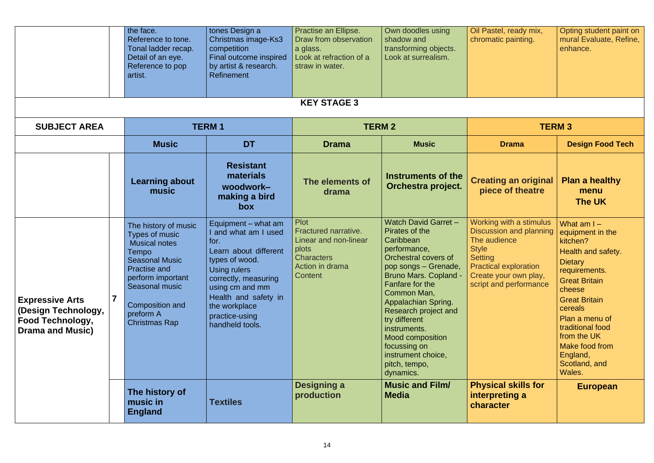|                                                                                                     |                    | the face.<br>Reference to tone.<br>Tonal ladder recap.<br>Detail of an eye.<br>Reference to pop<br>artist.                                                                                                             | tones Design a<br>Christmas image-Ks3<br>competition<br>Final outcome inspired<br>by artist & research.<br>Refinement                                                                                                                        | Practise an Ellipse.<br>Draw from observation<br>a glass.<br>Look at refraction of a<br>straw in water.                  | Own doodles using<br>shadow and<br>transforming objects.<br>Look at surrealism.                                                                                                                                                                                                                                                                                      | Oil Pastel, ready mix,<br>chromatic painting.                                                                                                                                                  | Opting student paint on<br>mural Evaluate, Refine,<br>enhance.                                                                                                                                                                                                                           |  |  |
|-----------------------------------------------------------------------------------------------------|--------------------|------------------------------------------------------------------------------------------------------------------------------------------------------------------------------------------------------------------------|----------------------------------------------------------------------------------------------------------------------------------------------------------------------------------------------------------------------------------------------|--------------------------------------------------------------------------------------------------------------------------|----------------------------------------------------------------------------------------------------------------------------------------------------------------------------------------------------------------------------------------------------------------------------------------------------------------------------------------------------------------------|------------------------------------------------------------------------------------------------------------------------------------------------------------------------------------------------|------------------------------------------------------------------------------------------------------------------------------------------------------------------------------------------------------------------------------------------------------------------------------------------|--|--|
|                                                                                                     | <b>KEY STAGE 3</b> |                                                                                                                                                                                                                        |                                                                                                                                                                                                                                              |                                                                                                                          |                                                                                                                                                                                                                                                                                                                                                                      |                                                                                                                                                                                                |                                                                                                                                                                                                                                                                                          |  |  |
| <b>SUBJECT AREA</b>                                                                                 |                    |                                                                                                                                                                                                                        | <b>TERM1</b>                                                                                                                                                                                                                                 | <b>TERM 2</b>                                                                                                            |                                                                                                                                                                                                                                                                                                                                                                      |                                                                                                                                                                                                | <b>TERM3</b>                                                                                                                                                                                                                                                                             |  |  |
|                                                                                                     |                    | <b>Music</b>                                                                                                                                                                                                           | <b>DT</b>                                                                                                                                                                                                                                    | <b>Drama</b>                                                                                                             | <b>Music</b>                                                                                                                                                                                                                                                                                                                                                         | <b>Drama</b>                                                                                                                                                                                   | <b>Design Food Tech</b>                                                                                                                                                                                                                                                                  |  |  |
|                                                                                                     |                    | <b>Learning about</b><br>music                                                                                                                                                                                         | <b>Resistant</b><br>materials<br>woodwork-<br>making a bird<br><b>box</b>                                                                                                                                                                    | The elements of<br>drama                                                                                                 | <b>Instruments of the</b><br>Orchestra project.                                                                                                                                                                                                                                                                                                                      | <b>Creating an original</b><br>piece of theatre                                                                                                                                                | <b>Plan a healthy</b><br>menu<br>The UK                                                                                                                                                                                                                                                  |  |  |
| <b>Expressive Arts</b><br>(Design Technology,<br><b>Food Technology,</b><br><b>Drama and Music)</b> | $\overline{7}$     | The history of music<br>Types of music<br><b>Musical notes</b><br>Tempo<br><b>Seasonal Music</b><br><b>Practise and</b><br>perform important<br>Seasonal music<br>Composition and<br>preform A<br><b>Christmas Rap</b> | Equipment – what am<br>and what am I used<br>for.<br>Learn about different<br>types of wood.<br><b>Using rulers</b><br>correctly, measuring<br>using cm and mm<br>Health and safety in<br>the workplace<br>practice-using<br>handheld tools. | <b>Plot</b><br>Fractured narrative.<br>Linear and non-linear<br>plots<br><b>Characters</b><br>Action in drama<br>Content | <b>Watch David Garret -</b><br>Pirates of the<br>Caribbean<br>performance,<br>Orchestral covers of<br>pop songs – Grenade,<br><b>Bruno Mars. Copland -</b><br>Fanfare for the<br>Common Man,<br>Appalachian Spring.<br>Research project and<br>try different<br>instruments.<br>Mood composition<br>focussing on<br>instrument choice,<br>pitch, tempo,<br>dynamics. | Working with a stimulus<br><b>Discussion and planning</b><br>The audience<br><b>Style</b><br><b>Setting</b><br><b>Practical exploration</b><br>Create your own play,<br>script and performance | What $am1 -$<br>equipment in the<br>kitchen?<br>Health and safety.<br><b>Dietary</b><br>requirements.<br><b>Great Britain</b><br>cheese<br><b>Great Britain</b><br>cereals<br>Plan a menu of<br>traditional food<br>from the UK<br>Make food from<br>England,<br>Scotland, and<br>Wales. |  |  |
|                                                                                                     |                    | The history of<br>music in<br><b>England</b>                                                                                                                                                                           | <b>Textiles</b>                                                                                                                                                                                                                              | Designing a<br>production                                                                                                | <b>Music and Film/</b><br><b>Media</b>                                                                                                                                                                                                                                                                                                                               | <b>Physical skills for</b><br>interpreting a<br>character                                                                                                                                      | <b>European</b>                                                                                                                                                                                                                                                                          |  |  |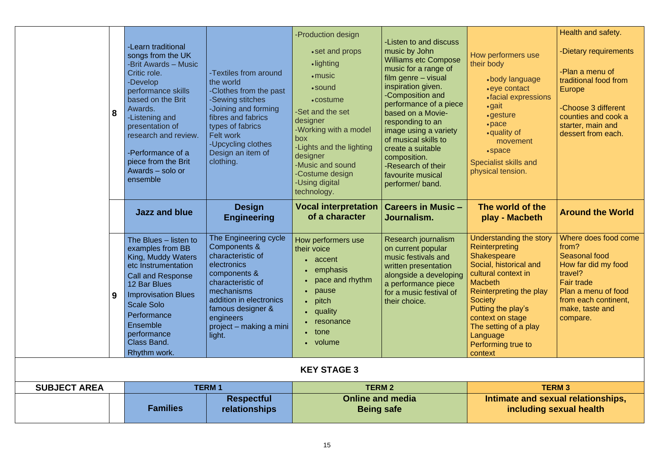|                     | 8 | -Learn traditional<br>songs from the UK<br><b>-Brit Awards - Music</b><br>Critic role.<br>-Develop<br>performance skills<br>based on the Brit<br>Awards.<br>-Listening and<br>presentation of<br>research and review.<br>-Performance of a<br>piece from the Brit<br>Awards - solo or<br>ensemble | -Textiles from around<br>the world<br>-Clothes from the past<br>-Sewing stitches<br>-Joining and forming<br>fibres and fabrics<br>types of fabrics<br>Felt work<br>-Upcycling clothes<br>Design an item of<br>clothing.        | -Production design<br>• set and props<br>·lighting<br>$\cdot$ music<br>•sound<br>• costume<br>-Set and the set<br>designer<br>-Working with a model<br>box<br>-Lights and the lighting<br>designer<br>-Music and sound<br>-Costume design<br>-Using digital<br>technology. | -Listen to and discuss<br>music by John<br><b>Williams etc Compose</b><br>music for a range of<br>film genre – visual<br>inspiration given.<br>-Composition and<br>performance of a piece<br>based on a Movie-<br>responding to an<br>image using a variety<br>of musical skills to<br>create a suitable<br>composition.<br>-Research of their<br>favourite musical<br>performer/band. | How performers use<br>their body<br>•body language<br>• eye contact<br>• facial expressions<br>$\bullet$ gait<br>• gesture<br>$\cdot$ pace<br>•quality of<br>movement<br>$\cdot$ space<br><b>Specialist skills and</b><br>physical tension.                                                     | Health and safety.<br>-Dietary requirements<br>-Plan a menu of<br>traditional food from<br>Europe<br>-Choose 3 different<br>counties and cook a<br>starter, main and<br>dessert from each. |
|---------------------|---|---------------------------------------------------------------------------------------------------------------------------------------------------------------------------------------------------------------------------------------------------------------------------------------------------|--------------------------------------------------------------------------------------------------------------------------------------------------------------------------------------------------------------------------------|----------------------------------------------------------------------------------------------------------------------------------------------------------------------------------------------------------------------------------------------------------------------------|----------------------------------------------------------------------------------------------------------------------------------------------------------------------------------------------------------------------------------------------------------------------------------------------------------------------------------------------------------------------------------------|-------------------------------------------------------------------------------------------------------------------------------------------------------------------------------------------------------------------------------------------------------------------------------------------------|--------------------------------------------------------------------------------------------------------------------------------------------------------------------------------------------|
|                     |   | <b>Jazz and blue</b>                                                                                                                                                                                                                                                                              | <b>Design</b><br><b>Engineering</b>                                                                                                                                                                                            | <b>Vocal interpretation</b><br>of a character                                                                                                                                                                                                                              | <b>Careers in Music -</b><br>Journalism.                                                                                                                                                                                                                                                                                                                                               | The world of the<br>play - Macbeth                                                                                                                                                                                                                                                              | <b>Around the World</b>                                                                                                                                                                    |
|                     | 9 | The Blues - listen to<br>examples from BB<br>King, Muddy Waters<br>etc Instrumentation<br><b>Call and Response</b><br>12 Bar Blues<br><b>Improvisation Blues</b><br><b>Scale Solo</b><br>Performance<br>Ensemble<br>performance<br><b>Class Band.</b><br>Rhythm work.                             | The Engineering cycle<br>Components &<br>characteristic of<br>electronics<br>components &<br>characteristic of<br>mechanisms<br>addition in electronics<br>famous designer &<br>engineers<br>project – making a mini<br>light. | How performers use<br>their voice<br>• accent<br>emphasis<br>• pace and rhythm<br>• pause<br>$\bullet$ pitch<br>• quality<br>· resonance<br>$\bullet$ tone<br>• volume                                                                                                     | Research journalism<br>on current popular<br>music festivals and<br>written presentation<br>alongside a developing<br>a performance piece<br>for a music festival of<br>their choice.                                                                                                                                                                                                  | Understanding the story<br><b>Reinterpreting</b><br>Shakespeare<br>Social, historical and<br>cultural context in<br><b>Macbeth</b><br>Reinterpreting the play<br><b>Society</b><br>Putting the play's<br>context on stage<br>The setting of a play<br>Language<br>Performing true to<br>context | Where does food come<br>from?<br><b>Seasonal food</b><br>How far did my food<br>travel?<br><b>Fair trade</b><br>Plan a menu of food<br>from each continent,<br>make, taste and<br>compare. |
|                     |   |                                                                                                                                                                                                                                                                                                   |                                                                                                                                                                                                                                | <b>KEY STAGE 3</b>                                                                                                                                                                                                                                                         |                                                                                                                                                                                                                                                                                                                                                                                        |                                                                                                                                                                                                                                                                                                 |                                                                                                                                                                                            |
| <b>SUBJECT AREA</b> |   |                                                                                                                                                                                                                                                                                                   | <b>TERM1</b>                                                                                                                                                                                                                   | <b>TERM 2</b>                                                                                                                                                                                                                                                              |                                                                                                                                                                                                                                                                                                                                                                                        |                                                                                                                                                                                                                                                                                                 | <b>TERM3</b>                                                                                                                                                                               |
|                     |   | <b>Families</b>                                                                                                                                                                                                                                                                                   | <b>Respectful</b><br>relationships                                                                                                                                                                                             | <b>Online and media</b><br><b>Being safe</b>                                                                                                                                                                                                                               |                                                                                                                                                                                                                                                                                                                                                                                        | Intimate and sexual relationships,<br>including sexual health                                                                                                                                                                                                                                   |                                                                                                                                                                                            |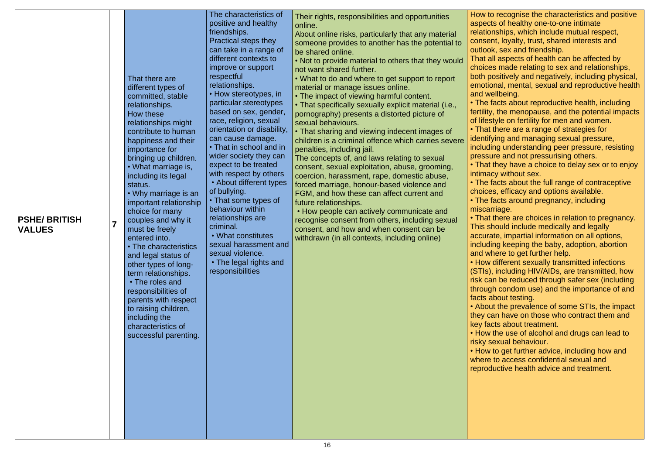o recognise the characteristics and positive ts of healthy one-to-one intimate nships, which include mutual respect, nt, loyalty, trust, shared interests and k, sex and friendship.

Il aspects of health can be affected by s made relating to sex and relationships, ositively and negatively, including physical, onal, mental, sexual and reproductive health allbeing.

facts about reproductive health, including , the menopause, and the potential impacts tyle on fertility for men and women.

there are a range of strategies for

ying and managing sexual pressure,

ing understanding peer pressure, resisting are and not pressurising others.

they have a choice to delay sex or to enjoy cy without sex.

facts about the full range of contraceptive es, efficacy and options available. facts around pregnancy, including rriage.

there are choices in relation to pregnancy. hould include medically and legally

ate, impartial information on all options, ing keeping the baby, adoption, abortion here to get further help.

different sexually transmitted infections , including HIV/AIDs, are transmitted, how In be reduced through safer sex (including Ih condom use) and the importance of and bout testing.

It the prevalence of some STIs, the impact an have on those who contract them and cts about treatment.

the use of alcohol and drugs can lead to exual behaviour.

to get further advice, including how and to access confidential sexual and

luctive health advice and treatment.

| <b>PSHE/BRITISH</b><br><b>VALUES</b> | $\overline{7}$ | That there are<br>different types of<br>committed, stable<br>relationships.<br>How these<br>relationships might<br>contribute to human<br>happiness and their<br>importance for<br>bringing up children.<br>• What marriage is,<br>including its legal<br>status.<br>• Why marriage is an<br>important relationship<br>choice for many<br>couples and why it<br>must be freely<br>entered into.<br>• The characteristics<br>and legal status of<br>other types of long-<br>term relationships.<br>• The roles and<br>responsibilities of<br>parents with respect<br>to raising children,<br>including the<br>characteristics of<br>successful parenting. | The characteristics of<br>positive and healthy<br>friendships.<br>Practical steps they<br>can take in a range of<br>different contexts to<br>improve or support<br>respectful<br>relationships.<br>• How stereotypes, in<br>particular stereotypes<br>based on sex, gender,<br>race, religion, sexual<br>orientation or disability,<br>can cause damage.<br>• That in school and in<br>wider society they can<br>expect to be treated<br>with respect by others<br>• About different types<br>of bullying.<br>• That some types of<br>behaviour within<br>relationships are<br>criminal.<br>• What constitutes<br>sexual harassment and<br>sexual violence<br>• The legal rights and<br>responsibilities | Their rights, responsibilities and opportunities<br>online.<br>About online risks, particularly that any material<br>someone provides to another has the potential to<br>be shared online.<br>• Not to provide material to others that they would<br>not want shared further.<br>• What to do and where to get support to report<br>material or manage issues online.<br>• The impact of viewing harmful content.<br>• That specifically sexually explicit material (i.e.,<br>pornography) presents a distorted picture of<br>sexual behaviours.<br>• That sharing and viewing indecent images of<br>children is a criminal offence which carries severe<br>penalties, including jail.<br>The concepts of, and laws relating to sexual<br>consent, sexual exploitation, abuse, grooming,<br>coercion, harassment, rape, domestic abuse,<br>forced marriage, honour-based violence and<br>FGM, and how these can affect current and<br>future relationships.<br>• How people can actively communicate and<br>recognise consent from others, including sexual<br>consent, and how and when consent can be<br>withdrawn (in all contexts, including online) | How to<br>aspect<br>relatior<br>conser<br>outlook<br>That al<br>choice<br>both po<br>emotio<br>and we<br>$\cdot$ The f<br>fertility<br>of lifes<br>• That $\overline{\ }$<br><i>identify</i><br>includi<br>pressu<br>• That $\overline{\ }$<br>intimad<br>$\cdot$ The f<br>choice<br>$\cdot$ The f<br>miscar<br>• That $\overline{\ }$<br>This sł<br>accura<br>includi<br>and wh<br>• How<br>(STIs),<br>risk ca<br>througl<br>facts a<br>• Abou<br>they ca<br>key fad<br>$\cdot$ How<br>risky s<br>$\cdot$ How<br>where<br>reprod |
|--------------------------------------|----------------|----------------------------------------------------------------------------------------------------------------------------------------------------------------------------------------------------------------------------------------------------------------------------------------------------------------------------------------------------------------------------------------------------------------------------------------------------------------------------------------------------------------------------------------------------------------------------------------------------------------------------------------------------------|----------------------------------------------------------------------------------------------------------------------------------------------------------------------------------------------------------------------------------------------------------------------------------------------------------------------------------------------------------------------------------------------------------------------------------------------------------------------------------------------------------------------------------------------------------------------------------------------------------------------------------------------------------------------------------------------------------|----------------------------------------------------------------------------------------------------------------------------------------------------------------------------------------------------------------------------------------------------------------------------------------------------------------------------------------------------------------------------------------------------------------------------------------------------------------------------------------------------------------------------------------------------------------------------------------------------------------------------------------------------------------------------------------------------------------------------------------------------------------------------------------------------------------------------------------------------------------------------------------------------------------------------------------------------------------------------------------------------------------------------------------------------------------------------------------------------------------------------------------------------------|-----------------------------------------------------------------------------------------------------------------------------------------------------------------------------------------------------------------------------------------------------------------------------------------------------------------------------------------------------------------------------------------------------------------------------------------------------------------------------------------------------------------------------------|
|--------------------------------------|----------------|----------------------------------------------------------------------------------------------------------------------------------------------------------------------------------------------------------------------------------------------------------------------------------------------------------------------------------------------------------------------------------------------------------------------------------------------------------------------------------------------------------------------------------------------------------------------------------------------------------------------------------------------------------|----------------------------------------------------------------------------------------------------------------------------------------------------------------------------------------------------------------------------------------------------------------------------------------------------------------------------------------------------------------------------------------------------------------------------------------------------------------------------------------------------------------------------------------------------------------------------------------------------------------------------------------------------------------------------------------------------------|----------------------------------------------------------------------------------------------------------------------------------------------------------------------------------------------------------------------------------------------------------------------------------------------------------------------------------------------------------------------------------------------------------------------------------------------------------------------------------------------------------------------------------------------------------------------------------------------------------------------------------------------------------------------------------------------------------------------------------------------------------------------------------------------------------------------------------------------------------------------------------------------------------------------------------------------------------------------------------------------------------------------------------------------------------------------------------------------------------------------------------------------------------|-----------------------------------------------------------------------------------------------------------------------------------------------------------------------------------------------------------------------------------------------------------------------------------------------------------------------------------------------------------------------------------------------------------------------------------------------------------------------------------------------------------------------------------|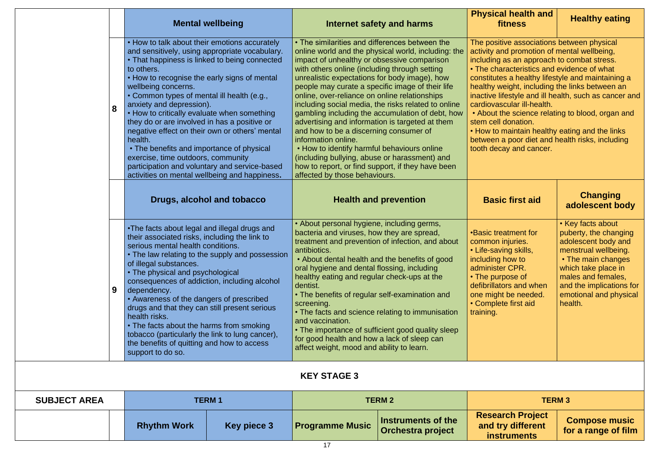|                                                                                                                                                                                                                                                                                                                                                                                                                                                                                                                                                                                                       |   |                                                                                                                                                                                                                                                                                                                                                                                                                                                                                                                                                                                                                                                                  | <b>Mental wellbeing</b>                                                                                                                                                                                                                                                                                                                                                                                                                                                                                  |                                                                                                                                                                                                                                                                                                                                                                                                                                                                                                                                                                                                                                                                                                                                                                                  | <b>Internet safety and harms</b>                                                                                                                                                                                             | <b>Physical health and</b><br><b>Healthy eating</b><br>fitness                                                                                                                                                                                                                                                                                                                                                                                                                                                                                                                                 |                                             |
|-------------------------------------------------------------------------------------------------------------------------------------------------------------------------------------------------------------------------------------------------------------------------------------------------------------------------------------------------------------------------------------------------------------------------------------------------------------------------------------------------------------------------------------------------------------------------------------------------------|---|------------------------------------------------------------------------------------------------------------------------------------------------------------------------------------------------------------------------------------------------------------------------------------------------------------------------------------------------------------------------------------------------------------------------------------------------------------------------------------------------------------------------------------------------------------------------------------------------------------------------------------------------------------------|----------------------------------------------------------------------------------------------------------------------------------------------------------------------------------------------------------------------------------------------------------------------------------------------------------------------------------------------------------------------------------------------------------------------------------------------------------------------------------------------------------|----------------------------------------------------------------------------------------------------------------------------------------------------------------------------------------------------------------------------------------------------------------------------------------------------------------------------------------------------------------------------------------------------------------------------------------------------------------------------------------------------------------------------------------------------------------------------------------------------------------------------------------------------------------------------------------------------------------------------------------------------------------------------------|------------------------------------------------------------------------------------------------------------------------------------------------------------------------------------------------------------------------------|------------------------------------------------------------------------------------------------------------------------------------------------------------------------------------------------------------------------------------------------------------------------------------------------------------------------------------------------------------------------------------------------------------------------------------------------------------------------------------------------------------------------------------------------------------------------------------------------|---------------------------------------------|
|                                                                                                                                                                                                                                                                                                                                                                                                                                                                                                                                                                                                       | 8 | • How to talk about their emotions accurately<br>and sensitively, using appropriate vocabulary.<br>• That happiness is linked to being connected<br>to others.<br>• How to recognise the early signs of mental<br>wellbeing concerns.<br>• Common types of mental ill health (e.g.,<br>anxiety and depression).<br>• How to critically evaluate when something<br>they do or are involved in has a positive or<br>negative effect on their own or others' mental<br>health.<br>• The benefits and importance of physical<br>exercise, time outdoors, community<br>participation and voluntary and service-based<br>activities on mental wellbeing and happiness. |                                                                                                                                                                                                                                                                                                                                                                                                                                                                                                          | • The similarities and differences between the<br>online world and the physical world, including: the<br>impact of unhealthy or obsessive comparison<br>with others online (including through setting<br>unrealistic expectations for body image), how<br>people may curate a specific image of their life<br>online, over-reliance on online relationships<br>including social media, the risks related to online<br>gambling including the accumulation of debt, how<br>advertising and information is targeted at them<br>and how to be a discerning consumer of<br>information online.<br>. How to identify harmful behaviours online<br>(including bullying, abuse or harassment) and<br>how to report, or find support, if they have been<br>affected by those behaviours. |                                                                                                                                                                                                                              | The positive associations between physical<br>activity and promotion of mental wellbeing,<br>including as an approach to combat stress.<br>• The characteristics and evidence of what<br>constitutes a healthy lifestyle and maintaining a<br>healthy weight, including the links between an<br>inactive lifestyle and ill health, such as cancer and<br>cardiovascular ill-health.<br>• About the science relating to blood, organ and<br>stem cell donation.<br>. How to maintain healthy eating and the links<br>between a poor diet and health risks, including<br>tooth decay and cancer. |                                             |
|                                                                                                                                                                                                                                                                                                                                                                                                                                                                                                                                                                                                       |   | Drugs, alcohol and tobacco                                                                                                                                                                                                                                                                                                                                                                                                                                                                                                                                                                                                                                       |                                                                                                                                                                                                                                                                                                                                                                                                                                                                                                          | <b>Health and prevention</b>                                                                                                                                                                                                                                                                                                                                                                                                                                                                                                                                                                                                                                                                                                                                                     |                                                                                                                                                                                                                              | <b>Basic first aid</b>                                                                                                                                                                                                                                                                                                                                                                                                                                                                                                                                                                         | <b>Changing</b><br>adolescent body          |
| •The facts about legal and illegal drugs and<br>their associated risks, including the link to<br>serious mental health conditions.<br>The law relating to the supply and possession<br>of illegal substances.<br>• The physical and psychological<br>consequences of addiction, including alcohol<br>9<br>dependency.<br>• Awareness of the dangers of prescribed<br>drugs and that they can still present serious<br>health risks.<br>• The facts about the harms from smoking<br>tobacco (particularly the link to lung cancer),<br>the benefits of quitting and how to access<br>support to do so. |   |                                                                                                                                                                                                                                                                                                                                                                                                                                                                                                                                                                                                                                                                  | • About personal hygiene, including germs,<br>bacteria and viruses, how they are spread,<br>treatment and prevention of infection, and about<br>antibiotics.<br>• About dental health and the benefits of good<br>oral hygiene and dental flossing, including<br>healthy eating and regular check-ups at the<br>dentist.<br>• The benefits of regular self-examination and<br>screening.<br>and vaccination.<br>for good health and how a lack of sleep can<br>affect weight, mood and ability to learn. | • The facts and science relating to immunisation<br>• The importance of sufficient good quality sleep                                                                                                                                                                                                                                                                                                                                                                                                                                                                                                                                                                                                                                                                            | <b>.</b> Basic treatment for<br>common injuries.<br>• Life-saving skills,<br>including how to<br>administer CPR.<br>• The purpose of<br>defibrillators and when<br>one might be needed.<br>• Complete first aid<br>training. | • Key facts about<br>puberty, the changing<br>adolescent body and<br>menstrual wellbeing.<br>• The main changes<br>which take place in<br>males and females,<br>and the implications for<br>emotional and physical<br>health.                                                                                                                                                                                                                                                                                                                                                                  |                                             |
| <b>KEY STAGE 3</b>                                                                                                                                                                                                                                                                                                                                                                                                                                                                                                                                                                                    |   |                                                                                                                                                                                                                                                                                                                                                                                                                                                                                                                                                                                                                                                                  |                                                                                                                                                                                                                                                                                                                                                                                                                                                                                                          |                                                                                                                                                                                                                                                                                                                                                                                                                                                                                                                                                                                                                                                                                                                                                                                  |                                                                                                                                                                                                                              |                                                                                                                                                                                                                                                                                                                                                                                                                                                                                                                                                                                                |                                             |
| <b>SUBJECT AREA</b>                                                                                                                                                                                                                                                                                                                                                                                                                                                                                                                                                                                   |   |                                                                                                                                                                                                                                                                                                                                                                                                                                                                                                                                                                                                                                                                  | <b>TERM1</b>                                                                                                                                                                                                                                                                                                                                                                                                                                                                                             |                                                                                                                                                                                                                                                                                                                                                                                                                                                                                                                                                                                                                                                                                                                                                                                  | <b>TERM 2</b>                                                                                                                                                                                                                |                                                                                                                                                                                                                                                                                                                                                                                                                                                                                                                                                                                                | <b>TERM 3</b>                               |
|                                                                                                                                                                                                                                                                                                                                                                                                                                                                                                                                                                                                       |   | <b>Rhythm Work</b>                                                                                                                                                                                                                                                                                                                                                                                                                                                                                                                                                                                                                                               | <b>Key piece 3</b>                                                                                                                                                                                                                                                                                                                                                                                                                                                                                       | <b>Programme Music</b>                                                                                                                                                                                                                                                                                                                                                                                                                                                                                                                                                                                                                                                                                                                                                           | <b>Instruments of the</b><br>Orchestra project                                                                                                                                                                               | <b>Research Project</b><br>and try different<br>instruments                                                                                                                                                                                                                                                                                                                                                                                                                                                                                                                                    | <b>Compose music</b><br>for a range of film |

**and try different instruments**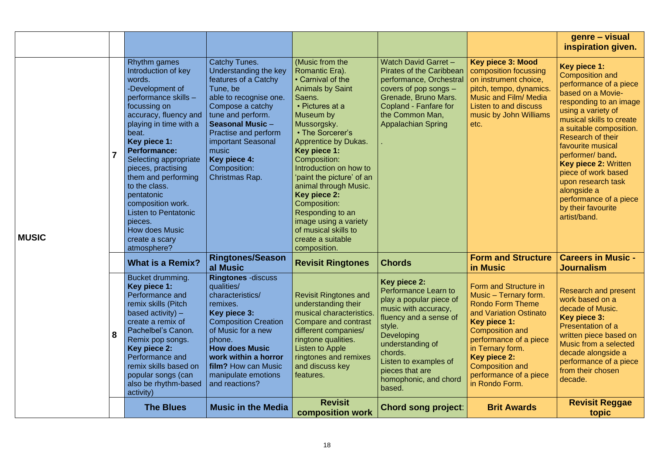|              |                                                                                                                                                                                                                                                                                                                                                                                                                                                  |                                                                                                                                                                                                                                                                                          |                                                                                                                                                                                                                                                                                                                                                                                                                                                         |                                                                                                                                                                                                                                                                       |                                                                                                                                                                                                                                                                                          | genre – visual<br>inspiration given.                                                                                                                                                                                                                                                                                                                                                                                 |
|--------------|--------------------------------------------------------------------------------------------------------------------------------------------------------------------------------------------------------------------------------------------------------------------------------------------------------------------------------------------------------------------------------------------------------------------------------------------------|------------------------------------------------------------------------------------------------------------------------------------------------------------------------------------------------------------------------------------------------------------------------------------------|---------------------------------------------------------------------------------------------------------------------------------------------------------------------------------------------------------------------------------------------------------------------------------------------------------------------------------------------------------------------------------------------------------------------------------------------------------|-----------------------------------------------------------------------------------------------------------------------------------------------------------------------------------------------------------------------------------------------------------------------|------------------------------------------------------------------------------------------------------------------------------------------------------------------------------------------------------------------------------------------------------------------------------------------|----------------------------------------------------------------------------------------------------------------------------------------------------------------------------------------------------------------------------------------------------------------------------------------------------------------------------------------------------------------------------------------------------------------------|
| <b>MUSIC</b> | <b>Rhythm</b> games<br>Introduction of key<br>words.<br>-Development of<br>performance skills -<br>focussing on<br>accuracy, fluency and<br>playing in time with a<br>beat.<br>Key piece 1:<br><b>Performance:</b><br>Selecting appropriate<br>pieces, practising<br>them and performing<br>to the class.<br>pentatonic<br>composition work.<br><b>Listen to Pentatonic</b><br>pieces.<br><b>How does Music</b><br>create a scary<br>atmosphere? | <b>Catchy Tunes.</b><br>Understanding the key<br>features of a Catchy<br>Tune, be<br>able to recognise one.<br>Compose a catchy<br>tune and perform.<br><b>Seasonal Music -</b><br>Practise and perform<br>important Seasonal<br>music<br>Key piece 4:<br>Composition:<br>Christmas Rap. | (Music from the<br>Romantic Era).<br>• Carnival of the<br><b>Animals by Saint</b><br>Saens.<br>• Pictures at a<br>Museum by<br>Mussorgsky.<br>• The Sorcerer's<br><b>Apprentice by Dukas.</b><br>Key piece 1:<br>Composition:<br>Introduction on how to<br>'paint the picture' of an<br>animal through Music.<br>Key piece 2:<br>Composition:<br>Responding to an<br>image using a variety<br>of musical skills to<br>create a suitable<br>composition. | <b>Watch David Garret -</b><br><b>Pirates of the Caribbean</b><br>performance, Orchestral<br>covers of pop songs -<br>Grenade, Bruno Mars.<br>Copland - Fanfare for<br>the Common Man,<br><b>Appalachian Spring</b>                                                   | <b>Key piece 3: Mood</b><br>composition focussing<br>on instrument choice,<br>pitch, tempo, dynamics.<br><b>Music and Film/ Media</b><br>Listen to and discuss<br>music by John Williams<br>etc.                                                                                         | Key piece 1:<br><b>Composition and</b><br>performance of a piece<br>based on a Movie-<br>responding to an image<br>using a variety of<br>musical skills to create<br>a suitable composition.<br>Research of their<br>favourite musical<br>performer/band.<br><b>Key piece 2: Written</b><br>piece of work based<br>upon research task<br>alongside a<br>performance of a piece<br>by their favourite<br>artist/band. |
|              | <b>What is a Remix?</b>                                                                                                                                                                                                                                                                                                                                                                                                                          | <b>Ringtones/Season</b><br>al Music                                                                                                                                                                                                                                                      | <b>Revisit Ringtones</b>                                                                                                                                                                                                                                                                                                                                                                                                                                | <b>Chords</b>                                                                                                                                                                                                                                                         | <b>Form and Structure</b><br>in Music                                                                                                                                                                                                                                                    | <b>Careers in Music -</b><br><b>Journalism</b>                                                                                                                                                                                                                                                                                                                                                                       |
|              | Bucket drumming.<br>Key piece 1:<br>Performance and<br>remix skills (Pitch<br>based activity) $-$<br>create a remix of<br>Pachelbel's Canon.<br>Remix pop songs.<br>Key piece 2:<br>Performance and<br>remix skills based on<br>popular songs (can<br>also be rhythm-based<br>activity)                                                                                                                                                          | <b>Ringtones -discuss</b><br>qualities/<br>characteristics/<br>remixes.<br>Key piece 3:<br><b>Composition Creation</b><br>of Music for a new<br>phone.<br><b>How does Music</b><br>work within a horror<br>film? How can Music<br>manipulate emotions<br>and reactions?                  | <b>Revisit Ringtones and</b><br>understanding their<br>musical characteristics.<br>Compare and contrast<br>different companies/<br>ringtone qualities.<br>Listen to Apple<br>ringtones and remixes<br>and discuss key<br>features.                                                                                                                                                                                                                      | Key piece 2:<br><b>Performance Learn to</b><br>play a popular piece of<br>music with accuracy,<br>fluency and a sense of<br>style.<br><b>Developing</b><br>understanding of<br>chords.<br>Listen to examples of<br>pieces that are<br>homophonic, and chord<br>based. | Form and Structure in<br>Music - Ternary form.<br><b>Rondo Form Theme</b><br>and Variation Ostinato<br>Key piece 1:<br><b>Composition and</b><br>performance of a piece<br>in Ternary form.<br><b>Key piece 2:</b><br><b>Composition and</b><br>performance of a piece<br>in Rondo Form. | <b>Research and present</b><br>work based on a<br>decade of Music.<br>Key piece 3:<br>Presentation of a<br>written piece based on<br>Music from a selected<br>decade alongside a<br>performance of a piece<br>from their chosen<br>decade.                                                                                                                                                                           |
|              | <b>The Blues</b>                                                                                                                                                                                                                                                                                                                                                                                                                                 | <b>Music in the Media</b>                                                                                                                                                                                                                                                                | <b>Revisit</b><br><b>composition work</b>                                                                                                                                                                                                                                                                                                                                                                                                               | <b>Chord song project:</b>                                                                                                                                                                                                                                            | <b>Brit Awards</b>                                                                                                                                                                                                                                                                       | <b>Revisit Reggae</b><br>topic                                                                                                                                                                                                                                                                                                                                                                                       |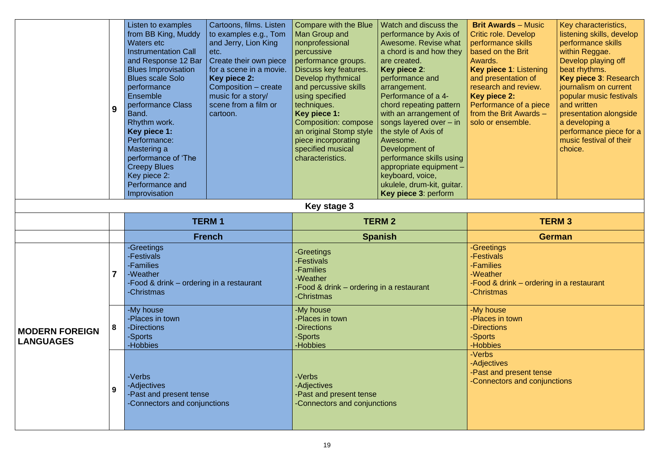- 
- 
- 
- 
- -Food & drink ordering in a restaurant
	- $\mathsf{mas}$

|                                           | 9              | Listen to examples<br>from BB King, Muddy<br><b>Waters etc</b><br><b>Instrumentation Call</b><br>and Response 12 Bar<br><b>Blues Improvisation</b><br><b>Blues scale Solo</b><br>performance<br><b>Ensemble</b><br>performance Class<br>Band.<br>Rhythm work.<br>Key piece 1:<br>Performance:<br>Mastering a<br>performance of 'The<br><b>Creepy Blues</b><br>Key piece 2:<br>Performance and<br>Improvisation | Cartoons, films. Listen<br>to examples e.g., Tom<br>and Jerry, Lion King<br>etc.<br>Create their own piece<br>for a scene in a movie.<br>Key piece 2:<br>Composition – create<br>music for a story/<br>scene from a film or<br>cartoon. | <b>Compare with the Blue</b><br>Man Group and<br>nonprofessional<br>percussive<br>performance groups.<br>Discuss key features.<br>Develop rhythmical<br>and percussive skills<br>using specified<br>techniques.<br>Key piece 1:<br><b>Composition: compose</b><br>an original Stomp style<br>piece incorporating<br>specified musical<br>characteristics.<br>Key stage 3 | Watch and discuss the<br>performance by Axis of<br>Awesome. Revise what<br>a chord is and how they<br>are created.<br>Key piece 2:<br>performance and<br>arrangement.<br>Performance of a 4-<br>chord repeating pattern<br>with an arrangement of<br>songs layered over $-$ in<br>the style of Axis of<br>Awesome.<br>Development of<br>performance skills using<br>appropriate equipment -<br>keyboard, voice,<br>ukulele, drum-kit, guitar.<br>Key piece 3: perform | <b>Brit Awards - Music</b><br><b>Critic role. Develop</b><br>performance skills<br>based on the Brit<br>Awards.<br>Key piece 1: Listening<br>and presentation of<br>research and review.<br><b>Key piece 2:</b><br>Performance of a piece<br>from the Brit Awards -<br>solo or ensemble. | Key<br>liste<br>per<br>with<br><b>Dev</b><br>bea<br>Key<br>jour<br>pop<br>and<br>pre:<br>a d<br>per<br>mu:<br>cho |
|-------------------------------------------|----------------|----------------------------------------------------------------------------------------------------------------------------------------------------------------------------------------------------------------------------------------------------------------------------------------------------------------------------------------------------------------------------------------------------------------|-----------------------------------------------------------------------------------------------------------------------------------------------------------------------------------------------------------------------------------------|--------------------------------------------------------------------------------------------------------------------------------------------------------------------------------------------------------------------------------------------------------------------------------------------------------------------------------------------------------------------------|-----------------------------------------------------------------------------------------------------------------------------------------------------------------------------------------------------------------------------------------------------------------------------------------------------------------------------------------------------------------------------------------------------------------------------------------------------------------------|------------------------------------------------------------------------------------------------------------------------------------------------------------------------------------------------------------------------------------------------------------------------------------------|-------------------------------------------------------------------------------------------------------------------|
|                                           |                |                                                                                                                                                                                                                                                                                                                                                                                                                | <b>TERM1</b>                                                                                                                                                                                                                            | <b>TERM3</b><br><b>TERM 2</b>                                                                                                                                                                                                                                                                                                                                            |                                                                                                                                                                                                                                                                                                                                                                                                                                                                       |                                                                                                                                                                                                                                                                                          |                                                                                                                   |
|                                           |                |                                                                                                                                                                                                                                                                                                                                                                                                                | <b>French</b>                                                                                                                                                                                                                           | <b>Spanish</b>                                                                                                                                                                                                                                                                                                                                                           | <b>German</b>                                                                                                                                                                                                                                                                                                                                                                                                                                                         |                                                                                                                                                                                                                                                                                          |                                                                                                                   |
|                                           | $\overline{7}$ | -Greetings<br><b>Festivals</b><br>-Families<br>-Weather<br>-Food & drink – ordering in a restaurant<br>-Christmas                                                                                                                                                                                                                                                                                              |                                                                                                                                                                                                                                         | -Greetings<br>-Festivals<br>-Families<br>-Weather<br>-Food & drink – ordering in a restaurant<br>-Christmas                                                                                                                                                                                                                                                              |                                                                                                                                                                                                                                                                                                                                                                                                                                                                       | -Greetings<br>-Festivals<br>-Families<br>-Weather<br>-Food & drink – ordering in a r<br>-Christmas                                                                                                                                                                                       |                                                                                                                   |
| <b>MODERN FOREIGN</b><br><b>LANGUAGES</b> | 8              | -My house<br>-Places in town<br>-Directions<br>-Sports                                                                                                                                                                                                                                                                                                                                                         |                                                                                                                                                                                                                                         | -My house<br>-Places in town<br>-Directions<br>-Sports<br>-Hobbies                                                                                                                                                                                                                                                                                                       |                                                                                                                                                                                                                                                                                                                                                                                                                                                                       | -My house<br>-Places in town<br>-Directions<br>-Sports<br>-Hobbies                                                                                                                                                                                                                       |                                                                                                                   |
|                                           | 9              | -Hobbies<br>-Verbs<br>-Adjectives<br>-Past and present tense<br>-Connectors and conjunctions                                                                                                                                                                                                                                                                                                                   |                                                                                                                                                                                                                                         | -Verbs<br>-Adjectives<br>-Past and present tense<br>-Connectors and conjunctions                                                                                                                                                                                                                                                                                         |                                                                                                                                                                                                                                                                                                                                                                                                                                                                       | -Verbs<br>-Adjectives<br>-Past and present tense<br>-Connectors and conjunctions                                                                                                                                                                                                         |                                                                                                                   |

| <b>Brit Awards – Music</b><br><b>Critic role. Develop</b><br>performance skills<br>based on the Brit<br>Awards.<br>Key piece 1: Listening<br>and presentation of<br>research and review.<br><b>Key piece 2:</b><br>Performance of a piece<br>from the Brit Awards -<br>solo or ensemble. | Key characteristics,<br>listening skills, develop<br>performance skills<br>within Reggae.<br>Develop playing off<br>beat rhythms.<br>Key piece 3: Research<br>journalism on current<br>popular music festivals<br>and written<br>presentation alongside<br>a developing a<br>performance piece for a |
|------------------------------------------------------------------------------------------------------------------------------------------------------------------------------------------------------------------------------------------------------------------------------------------|------------------------------------------------------------------------------------------------------------------------------------------------------------------------------------------------------------------------------------------------------------------------------------------------------|
|                                                                                                                                                                                                                                                                                          | music festival of their<br>choice.                                                                                                                                                                                                                                                                   |
|                                                                                                                                                                                                                                                                                          |                                                                                                                                                                                                                                                                                                      |